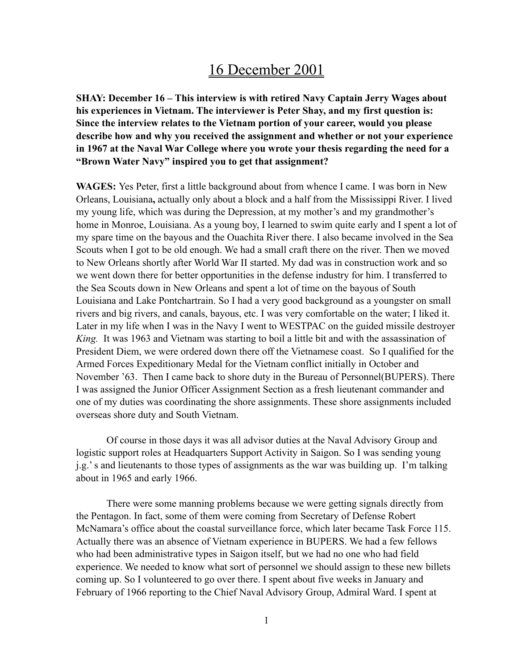# 16 December 2001

**SHAY: December 16 – This interview is with retired Navy Captain Jerry Wages about his experiences in Vietnam. The interviewer is Peter Shay, and my first question is: Since the interview relates to the Vietnam portion of your career, would you please describe how and why you received the assignment and whether or not your experience in 1967 at the Naval War College where you wrote your thesis regarding the need for a "Brown Water Navy" inspired you to get that assignment?**

**WAGES:** Yes Peter, first a little background about from whence I came. I was born in New Orleans, Louisiana**,** actually only about a block and a half from the Mississippi River. I lived my young life, which was during the Depression, at my mother's and my grandmother's home in Monroe, Louisiana. As a young boy, I learned to swim quite early and I spent a lot of my spare time on the bayous and the Ouachita River there. I also became involved in the Sea Scouts when I got to be old enough. We had a small craft there on the river. Then we moved to New Orleans shortly after World War II started. My dad was in construction work and so we went down there for better opportunities in the defense industry for him. I transferred to the Sea Scouts down in New Orleans and spent a lot of time on the bayous of South Louisiana and Lake Pontchartrain. So I had a very good background as a youngster on small rivers and big rivers, and canals, bayous, etc. I was very comfortable on the water; I liked it. Later in my life when I was in the Navy I went to WESTPAC on the guided missile destroyer *King.* It was 1963 and Vietnam was starting to boil a little bit and with the assassination of President Diem, we were ordered down there off the Vietnamese coast. So I qualified for the Armed Forces Expeditionary Medal for the Vietnam conflict initially in October and November '63. Then I came back to shore duty in the Bureau of Personnel(BUPERS). There I was assigned the Junior Officer Assignment Section as a fresh lieutenant commander and one of my duties was coordinating the shore assignments. These shore assignments included overseas shore duty and South Vietnam.

Of course in those days it was all advisor duties at the Naval Advisory Group and logistic support roles at Headquarters Support Activity in Saigon. So I was sending young j.g.' s and lieutenants to those types of assignments as the war was building up. I'm talking about in 1965 and early 1966.

There were some manning problems because we were getting signals directly from the Pentagon. In fact, some of them were coming from Secretary of Defense Robert McNamara's office about the coastal surveillance force, which later became Task Force 115. Actually there was an absence of Vietnam experience in BUPERS. We had a few fellows who had been administrative types in Saigon itself, but we had no one who had field experience. We needed to know what sort of personnel we should assign to these new billets coming up. So I volunteered to go over there. I spent about five weeks in January and February of 1966 reporting to the Chief Naval Advisory Group, Admiral Ward. I spent at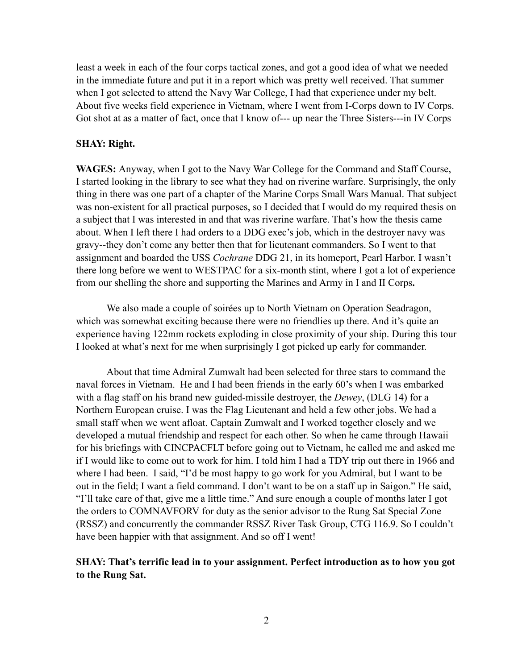least a week in each of the four corps tactical zones, and got a good idea of what we needed in the immediate future and put it in a report which was pretty well received. That summer when I got selected to attend the Navy War College, I had that experience under my belt. About five weeks field experience in Vietnam, where I went from I-Corps down to IV Corps. Got shot at as a matter of fact, once that I know of--- up near the Three Sisters---in IV Corps

#### **SHAY: Right.**

**WAGES:** Anyway, when I got to the Navy War College for the Command and Staff Course, I started looking in the library to see what they had on riverine warfare. Surprisingly, the only thing in there was one part of a chapter of the Marine Corps Small Wars Manual. That subject was non-existent for all practical purposes, so I decided that I would do my required thesis on a subject that I was interested in and that was riverine warfare. That's how the thesis came about. When I left there I had orders to a DDG exec's job, which in the destroyer navy was gravy--they don't come any better then that for lieutenant commanders. So I went to that assignment and boarded the USS *Cochrane* DDG 21, in its homeport, Pearl Harbor. I wasn't there long before we went to WESTPAC for a six-month stint, where I got a lot of experience from our shelling the shore and supporting the Marines and Army in I and II Corps**.** 

We also made a couple of soirées up to North Vietnam on Operation Seadragon, which was somewhat exciting because there were no friendlies up there. And it's quite an experience having 122mm rockets exploding in close proximity of your ship. During this tour I looked at what's next for me when surprisingly I got picked up early for commander.

About that time Admiral Zumwalt had been selected for three stars to command the naval forces in Vietnam. He and I had been friends in the early 60's when I was embarked with a flag staff on his brand new guided-missile destroyer, the *Dewey*, (DLG 14) for a Northern European cruise. I was the Flag Lieutenant and held a few other jobs. We had a small staff when we went afloat. Captain Zumwalt and I worked together closely and we developed a mutual friendship and respect for each other. So when he came through Hawaii for his briefings with CINCPACFLT before going out to Vietnam, he called me and asked me if I would like to come out to work for him. I told him I had a TDY trip out there in 1966 and where I had been. I said, "I'd be most happy to go work for you Admiral, but I want to be out in the field; I want a field command. I don't want to be on a staff up in Saigon." He said, "I'll take care of that, give me a little time." And sure enough a couple of months later I got the orders to COMNAVFORV for duty as the senior advisor to the Rung Sat Special Zone (RSSZ) and concurrently the commander RSSZ River Task Group, CTG 116.9. So I couldn't have been happier with that assignment. And so off I went!

### **SHAY: That's terrific lead in to your assignment. Perfect introduction as to how you got to the Rung Sat.**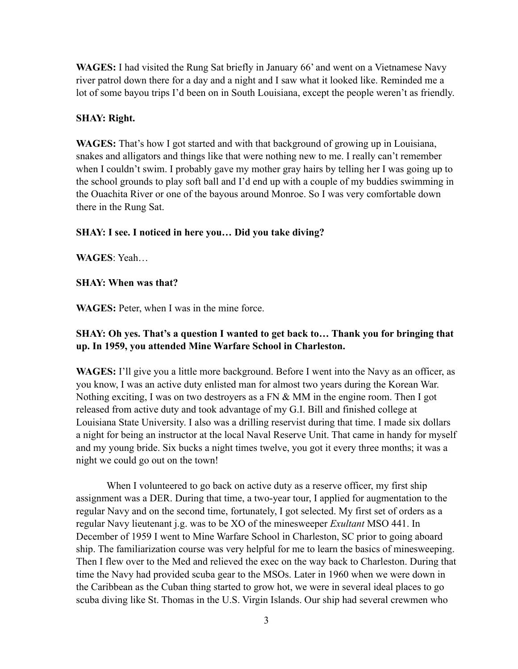**WAGES:** I had visited the Rung Sat briefly in January 66' and went on a Vietnamese Navy river patrol down there for a day and a night and I saw what it looked like. Reminded me a lot of some bayou trips I'd been on in South Louisiana, except the people weren't as friendly.

# **SHAY: Right.**

**WAGES:** That's how I got started and with that background of growing up in Louisiana, snakes and alligators and things like that were nothing new to me. I really can't remember when I couldn't swim. I probably gave my mother gray hairs by telling her I was going up to the school grounds to play soft ball and I'd end up with a couple of my buddies swimming in the Ouachita River or one of the bayous around Monroe. So I was very comfortable down there in the Rung Sat.

# **SHAY: I see. I noticed in here you… Did you take diving?**

**WAGES**: Yeah…

# **SHAY: When was that?**

**WAGES:** Peter, when I was in the mine force.

# **SHAY: Oh yes. That's a question I wanted to get back to… Thank you for bringing that up. In 1959, you attended Mine Warfare School in Charleston.**

**WAGES:** I'll give you a little more background. Before I went into the Navy as an officer, as you know, I was an active duty enlisted man for almost two years during the Korean War. Nothing exciting, I was on two destroyers as a FN & MM in the engine room. Then I got released from active duty and took advantage of my G.I. Bill and finished college at Louisiana State University. I also was a drilling reservist during that time. I made six dollars a night for being an instructor at the local Naval Reserve Unit. That came in handy for myself and my young bride. Six bucks a night times twelve, you got it every three months; it was a night we could go out on the town!

When I volunteered to go back on active duty as a reserve officer, my first ship assignment was a DER. During that time, a two-year tour, I applied for augmentation to the regular Navy and on the second time, fortunately, I got selected. My first set of orders as a regular Navy lieutenant j.g. was to be XO of the minesweeper *Exultant* MSO 441. In December of 1959 I went to Mine Warfare School in Charleston, SC prior to going aboard ship. The familiarization course was very helpful for me to learn the basics of minesweeping. Then I flew over to the Med and relieved the exec on the way back to Charleston. During that time the Navy had provided scuba gear to the MSOs. Later in 1960 when we were down in the Caribbean as the Cuban thing started to grow hot, we were in several ideal places to go scuba diving like St. Thomas in the U.S. Virgin Islands. Our ship had several crewmen who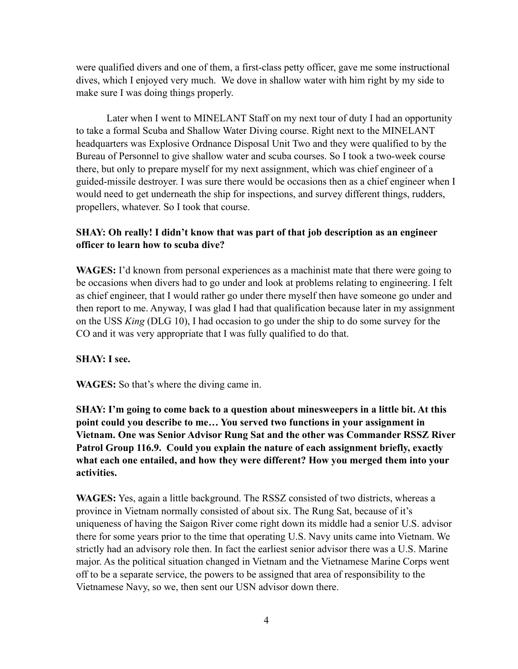were qualified divers and one of them, a first-class petty officer, gave me some instructional dives, which I enjoyed very much. We dove in shallow water with him right by my side to make sure I was doing things properly.

Later when I went to MINELANT Staff on my next tour of duty I had an opportunity to take a formal Scuba and Shallow Water Diving course. Right next to the MINELANT headquarters was Explosive Ordnance Disposal Unit Two and they were qualified to by the Bureau of Personnel to give shallow water and scuba courses. So I took a two-week course there, but only to prepare myself for my next assignment, which was chief engineer of a guided-missile destroyer. I was sure there would be occasions then as a chief engineer when I would need to get underneath the ship for inspections, and survey different things, rudders, propellers, whatever. So I took that course.

# **SHAY: Oh really! I didn't know that was part of that job description as an engineer officer to learn how to scuba dive?**

**WAGES:** I'd known from personal experiences as a machinist mate that there were going to be occasions when divers had to go under and look at problems relating to engineering. I felt as chief engineer, that I would rather go under there myself then have someone go under and then report to me. Anyway, I was glad I had that qualification because later in my assignment on the USS *King* (DLG 10), I had occasion to go under the ship to do some survey for the CO and it was very appropriate that I was fully qualified to do that.

# **SHAY: I see.**

**WAGES:** So that's where the diving came in.

**SHAY: I'm going to come back to a question about minesweepers in a little bit. At this point could you describe to me… You served two functions in your assignment in Vietnam. One was Senior Advisor Rung Sat and the other was Commander RSSZ River Patrol Group 116.9. Could you explain the nature of each assignment briefly, exactly what each one entailed, and how they were different? How you merged them into your activities.** 

**WAGES:** Yes, again a little background. The RSSZ consisted of two districts, whereas a province in Vietnam normally consisted of about six. The Rung Sat, because of it's uniqueness of having the Saigon River come right down its middle had a senior U.S. advisor there for some years prior to the time that operating U.S. Navy units came into Vietnam. We strictly had an advisory role then. In fact the earliest senior advisor there was a U.S. Marine major. As the political situation changed in Vietnam and the Vietnamese Marine Corps went off to be a separate service, the powers to be assigned that area of responsibility to the Vietnamese Navy, so we, then sent our USN advisor down there.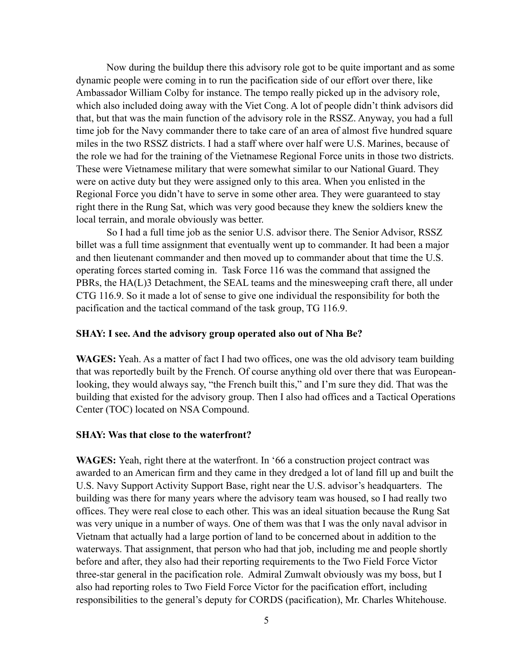Now during the buildup there this advisory role got to be quite important and as some dynamic people were coming in to run the pacification side of our effort over there, like Ambassador William Colby for instance. The tempo really picked up in the advisory role, which also included doing away with the Viet Cong. A lot of people didn't think advisors did that, but that was the main function of the advisory role in the RSSZ. Anyway, you had a full time job for the Navy commander there to take care of an area of almost five hundred square miles in the two RSSZ districts. I had a staff where over half were U.S. Marines, because of the role we had for the training of the Vietnamese Regional Force units in those two districts. These were Vietnamese military that were somewhat similar to our National Guard. They were on active duty but they were assigned only to this area. When you enlisted in the Regional Force you didn't have to serve in some other area. They were guaranteed to stay right there in the Rung Sat, which was very good because they knew the soldiers knew the local terrain, and morale obviously was better.

So I had a full time job as the senior U.S. advisor there. The Senior Advisor, RSSZ billet was a full time assignment that eventually went up to commander. It had been a major and then lieutenant commander and then moved up to commander about that time the U.S. operating forces started coming in. Task Force 116 was the command that assigned the PBRs, the HA(L)3 Detachment, the SEAL teams and the minesweeping craft there, all under CTG 116.9. So it made a lot of sense to give one individual the responsibility for both the pacification and the tactical command of the task group, TG 116.9.

#### **SHAY: I see. And the advisory group operated also out of Nha Be?**

**WAGES:** Yeah. As a matter of fact I had two offices, one was the old advisory team building that was reportedly built by the French. Of course anything old over there that was Europeanlooking, they would always say, "the French built this," and I'm sure they did. That was the building that existed for the advisory group. Then I also had offices and a Tactical Operations Center (TOC) located on NSA Compound.

#### **SHAY: Was that close to the waterfront?**

**WAGES:** Yeah, right there at the waterfront. In '66 a construction project contract was awarded to an American firm and they came in they dredged a lot of land fill up and built the U.S. Navy Support Activity Support Base, right near the U.S. advisor's headquarters. The building was there for many years where the advisory team was housed, so I had really two offices. They were real close to each other. This was an ideal situation because the Rung Sat was very unique in a number of ways. One of them was that I was the only naval advisor in Vietnam that actually had a large portion of land to be concerned about in addition to the waterways. That assignment, that person who had that job, including me and people shortly before and after, they also had their reporting requirements to the Two Field Force Victor three-star general in the pacification role. Admiral Zumwalt obviously was my boss, but I also had reporting roles to Two Field Force Victor for the pacification effort, including responsibilities to the general's deputy for CORDS (pacification), Mr. Charles Whitehouse.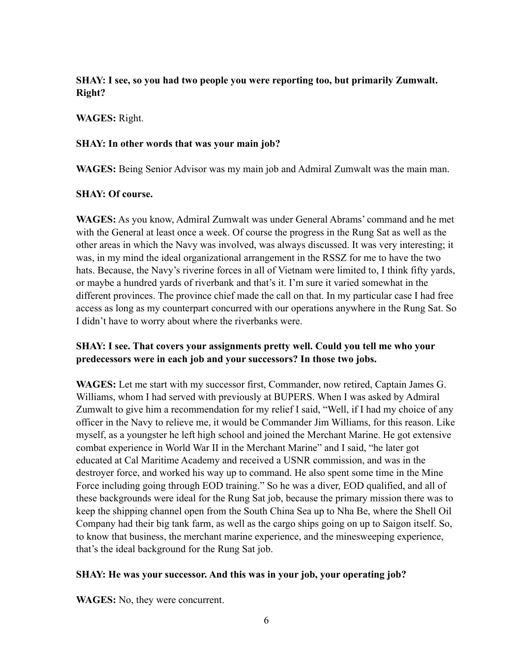# **SHAY: I see, so you had two people you were reporting too, but primarily Zumwalt. Right?**

### **WAGES:** Right.

### **SHAY: In other words that was your main job?**

**WAGES:** Being Senior Advisor was my main job and Admiral Zumwalt was the main man.

# **SHAY: Of course.**

**WAGES:** As you know, Admiral Zumwalt was under General Abrams' command and he met with the General at least once a week. Of course the progress in the Rung Sat as well as the other areas in which the Navy was involved, was always discussed. It was very interesting; it was, in my mind the ideal organizational arrangement in the RSSZ for me to have the two hats. Because, the Navy's riverine forces in all of Vietnam were limited to, I think fifty yards, or maybe a hundred yards of riverbank and that's it. I'm sure it varied somewhat in the different provinces. The province chief made the call on that. In my particular case I had free access as long as my counterpart concurred with our operations anywhere in the Rung Sat. So I didn't have to worry about where the riverbanks were.

# **SHAY: I see. That covers your assignments pretty well. Could you tell me who your predecessors were in each job and your successors? In those two jobs.**

**WAGES:** Let me start with my successor first, Commander, now retired, Captain James G. Williams, whom I had served with previously at BUPERS. When I was asked by Admiral Zumwalt to give him a recommendation for my relief I said, "Well, if I had my choice of any officer in the Navy to relieve me, it would be Commander Jim Williams, for this reason. Like myself, as a youngster he left high school and joined the Merchant Marine. He got extensive combat experience in World War II in the Merchant Marine" and I said, "he later got educated at Cal Maritime Academy and received a USNR commission, and was in the destroyer force, and worked his way up to command. He also spent some time in the Mine Force including going through EOD training." So he was a diver, EOD qualified, and all of these backgrounds were ideal for the Rung Sat job, because the primary mission there was to keep the shipping channel open from the South China Sea up to Nha Be, where the Shell Oil Company had their big tank farm, as well as the cargo ships going on up to Saigon itself. So, to know that business, the merchant marine experience, and the minesweeping experience, that's the ideal background for the Rung Sat job.

# **SHAY: He was your successor. And this was in your job, your operating job?**

**WAGES:** No, they were concurrent.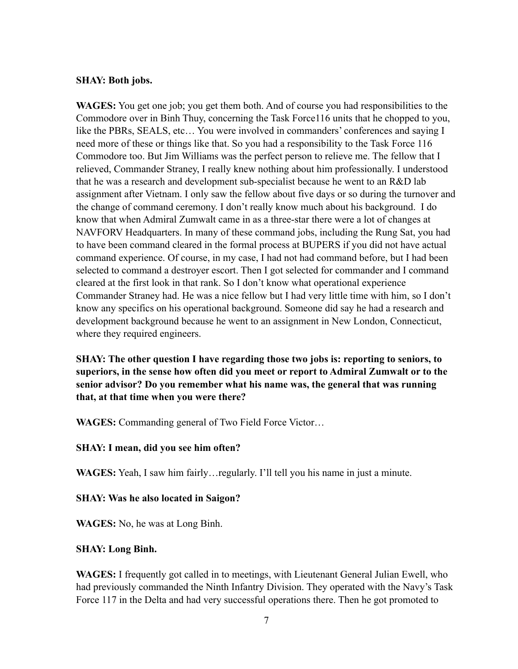#### **SHAY: Both jobs.**

**WAGES:** You get one job; you get them both. And of course you had responsibilities to the Commodore over in Binh Thuy, concerning the Task Force116 units that he chopped to you, like the PBRs, SEALS, etc… You were involved in commanders' conferences and saying I need more of these or things like that. So you had a responsibility to the Task Force 116 Commodore too. But Jim Williams was the perfect person to relieve me. The fellow that I relieved, Commander Straney, I really knew nothing about him professionally. I understood that he was a research and development sub-specialist because he went to an R&D lab assignment after Vietnam. I only saw the fellow about five days or so during the turnover and the change of command ceremony. I don't really know much about his background. I do know that when Admiral Zumwalt came in as a three-star there were a lot of changes at NAVFORV Headquarters. In many of these command jobs, including the Rung Sat, you had to have been command cleared in the formal process at BUPERS if you did not have actual command experience. Of course, in my case, I had not had command before, but I had been selected to command a destroyer escort. Then I got selected for commander and I command cleared at the first look in that rank. So I don't know what operational experience Commander Straney had. He was a nice fellow but I had very little time with him, so I don't know any specifics on his operational background. Someone did say he had a research and development background because he went to an assignment in New London, Connecticut, where they required engineers.

**SHAY: The other question I have regarding those two jobs is: reporting to seniors, to superiors, in the sense how often did you meet or report to Admiral Zumwalt or to the senior advisor? Do you remember what his name was, the general that was running that, at that time when you were there?** 

**WAGES:** Commanding general of Two Field Force Victor…

#### **SHAY: I mean, did you see him often?**

**WAGES:** Yeah, I saw him fairly…regularly. I'll tell you his name in just a minute.

#### **SHAY: Was he also located in Saigon?**

**WAGES:** No, he was at Long Binh.

#### **SHAY: Long Binh.**

**WAGES:** I frequently got called in to meetings, with Lieutenant General Julian Ewell, who had previously commanded the Ninth Infantry Division. They operated with the Navy's Task Force 117 in the Delta and had very successful operations there. Then he got promoted to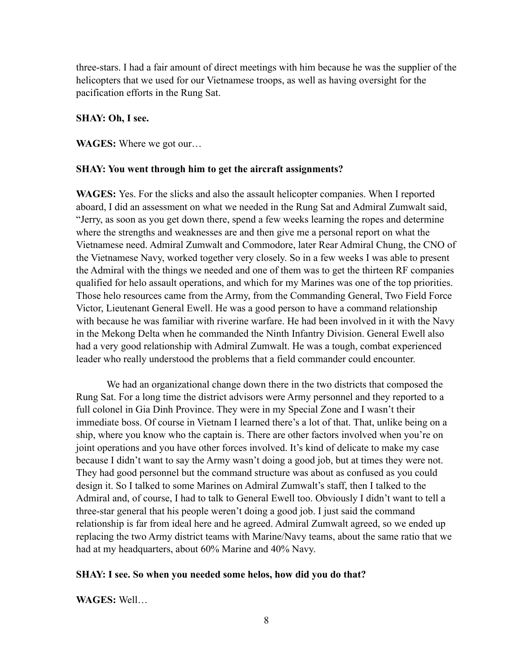three-stars. I had a fair amount of direct meetings with him because he was the supplier of the helicopters that we used for our Vietnamese troops, as well as having oversight for the pacification efforts in the Rung Sat.

#### **SHAY: Oh, I see.**

**WAGES:** Where we got our…

#### **SHAY: You went through him to get the aircraft assignments?**

**WAGES:** Yes. For the slicks and also the assault helicopter companies. When I reported aboard, I did an assessment on what we needed in the Rung Sat and Admiral Zumwalt said, "Jerry, as soon as you get down there, spend a few weeks learning the ropes and determine where the strengths and weaknesses are and then give me a personal report on what the Vietnamese need. Admiral Zumwalt and Commodore, later Rear Admiral Chung, the CNO of the Vietnamese Navy, worked together very closely. So in a few weeks I was able to present the Admiral with the things we needed and one of them was to get the thirteen RF companies qualified for helo assault operations, and which for my Marines was one of the top priorities. Those helo resources came from the Army, from the Commanding General, Two Field Force Victor, Lieutenant General Ewell. He was a good person to have a command relationship with because he was familiar with riverine warfare. He had been involved in it with the Navy in the Mekong Delta when he commanded the Ninth Infantry Division. General Ewell also had a very good relationship with Admiral Zumwalt. He was a tough, combat experienced leader who really understood the problems that a field commander could encounter.

We had an organizational change down there in the two districts that composed the Rung Sat. For a long time the district advisors were Army personnel and they reported to a full colonel in Gia Dinh Province. They were in my Special Zone and I wasn't their immediate boss. Of course in Vietnam I learned there's a lot of that. That, unlike being on a ship, where you know who the captain is. There are other factors involved when you're on joint operations and you have other forces involved. It's kind of delicate to make my case because I didn't want to say the Army wasn't doing a good job, but at times they were not. They had good personnel but the command structure was about as confused as you could design it. So I talked to some Marines on Admiral Zumwalt's staff, then I talked to the Admiral and, of course, I had to talk to General Ewell too. Obviously I didn't want to tell a three-star general that his people weren't doing a good job. I just said the command relationship is far from ideal here and he agreed. Admiral Zumwalt agreed, so we ended up replacing the two Army district teams with Marine/Navy teams, about the same ratio that we had at my headquarters, about 60% Marine and 40% Navy.

#### **SHAY: I see. So when you needed some helos, how did you do that?**

**WAGES:** Well…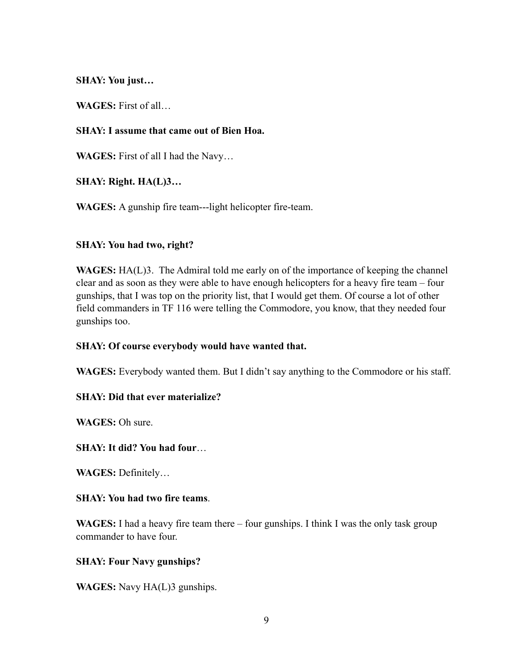**SHAY: You just…**

**WAGES:** First of all…

### **SHAY: I assume that came out of Bien Hoa.**

**WAGES:** First of all I had the Navy…

**SHAY: Right. HA(L)3…**

**WAGES:** A gunship fire team---light helicopter fire-team.

### **SHAY: You had two, right?**

**WAGES:** HA(L)3. The Admiral told me early on of the importance of keeping the channel clear and as soon as they were able to have enough helicopters for a heavy fire team – four gunships, that I was top on the priority list, that I would get them. Of course a lot of other field commanders in TF 116 were telling the Commodore, you know, that they needed four gunships too.

#### **SHAY: Of course everybody would have wanted that.**

**WAGES:** Everybody wanted them. But I didn't say anything to the Commodore or his staff.

# **SHAY: Did that ever materialize?**

**WAGES:** Oh sure.

#### **SHAY: It did? You had four**…

**WAGES:** Definitely…

#### **SHAY: You had two fire teams**.

**WAGES:** I had a heavy fire team there – four gunships. I think I was the only task group commander to have four.

#### **SHAY: Four Navy gunships?**

**WAGES:** Navy HA(L)3 gunships.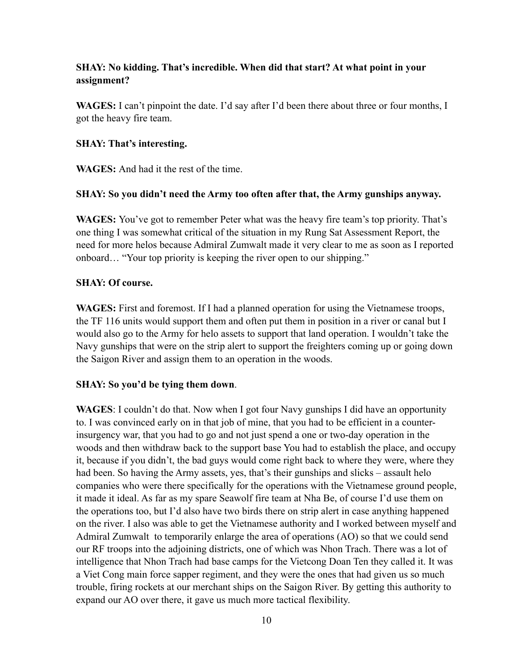# **SHAY: No kidding. That's incredible. When did that start? At what point in your assignment?**

**WAGES:** I can't pinpoint the date. I'd say after I'd been there about three or four months, I got the heavy fire team.

### **SHAY: That's interesting.**

**WAGES:** And had it the rest of the time.

### **SHAY: So you didn't need the Army too often after that, the Army gunships anyway.**

**WAGES:** You've got to remember Peter what was the heavy fire team's top priority. That's one thing I was somewhat critical of the situation in my Rung Sat Assessment Report, the need for more helos because Admiral Zumwalt made it very clear to me as soon as I reported onboard… "Your top priority is keeping the river open to our shipping."

### **SHAY: Of course.**

**WAGES:** First and foremost. If I had a planned operation for using the Vietnamese troops, the TF 116 units would support them and often put them in position in a river or canal but I would also go to the Army for helo assets to support that land operation. I wouldn't take the Navy gunships that were on the strip alert to support the freighters coming up or going down the Saigon River and assign them to an operation in the woods.

# **SHAY: So you'd be tying them down**.

**WAGES**: I couldn't do that. Now when I got four Navy gunships I did have an opportunity to. I was convinced early on in that job of mine, that you had to be efficient in a counterinsurgency war, that you had to go and not just spend a one or two-day operation in the woods and then withdraw back to the support base You had to establish the place, and occupy it, because if you didn't, the bad guys would come right back to where they were, where they had been. So having the Army assets, yes, that's their gunships and slicks – assault helo companies who were there specifically for the operations with the Vietnamese ground people, it made it ideal. As far as my spare Seawolf fire team at Nha Be, of course I'd use them on the operations too, but I'd also have two birds there on strip alert in case anything happened on the river. I also was able to get the Vietnamese authority and I worked between myself and Admiral Zumwalt to temporarily enlarge the area of operations (AO) so that we could send our RF troops into the adjoining districts, one of which was Nhon Trach. There was a lot of intelligence that Nhon Trach had base camps for the Vietcong Doan Ten they called it. It was a Viet Cong main force sapper regiment, and they were the ones that had given us so much trouble, firing rockets at our merchant ships on the Saigon River. By getting this authority to expand our AO over there, it gave us much more tactical flexibility.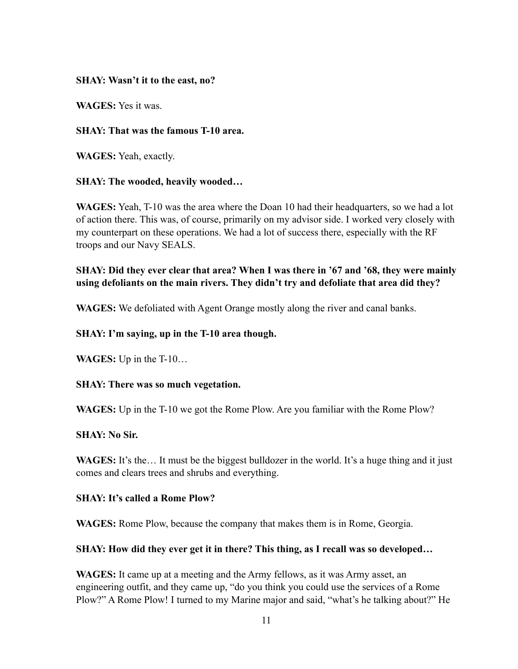### **SHAY: Wasn't it to the east, no?**

**WAGES:** Yes it was.

### **SHAY: That was the famous T-10 area.**

**WAGES:** Yeah, exactly.

### **SHAY: The wooded, heavily wooded…**

**WAGES:** Yeah, T-10 was the area where the Doan 10 had their headquarters, so we had a lot of action there. This was, of course, primarily on my advisor side. I worked very closely with my counterpart on these operations. We had a lot of success there, especially with the RF troops and our Navy SEALS.

# **SHAY: Did they ever clear that area? When I was there in '67 and '68, they were mainly using defoliants on the main rivers. They didn't try and defoliate that area did they?**

**WAGES:** We defoliated with Agent Orange mostly along the river and canal banks.

# **SHAY: I'm saying, up in the T-10 area though.**

**WAGES:** Up in the T-10…

# **SHAY: There was so much vegetation.**

**WAGES:** Up in the T-10 we got the Rome Plow. Are you familiar with the Rome Plow?

#### **SHAY: No Sir.**

WAGES: It's the... It must be the biggest bulldozer in the world. It's a huge thing and it just comes and clears trees and shrubs and everything.

#### **SHAY: It's called a Rome Plow?**

**WAGES:** Rome Plow, because the company that makes them is in Rome, Georgia.

#### **SHAY: How did they ever get it in there? This thing, as I recall was so developed…**

**WAGES:** It came up at a meeting and the Army fellows, as it was Army asset, an engineering outfit, and they came up, "do you think you could use the services of a Rome Plow?" A Rome Plow! I turned to my Marine major and said, "what's he talking about?" He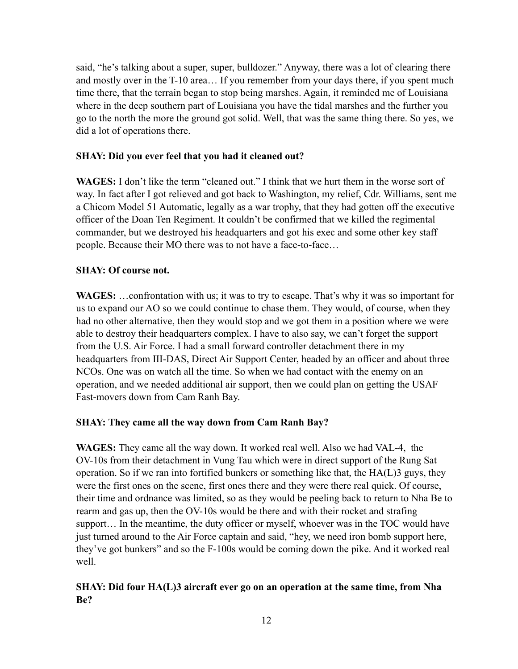said, "he's talking about a super, super, bulldozer." Anyway, there was a lot of clearing there and mostly over in the T-10 area… If you remember from your days there, if you spent much time there, that the terrain began to stop being marshes. Again, it reminded me of Louisiana where in the deep southern part of Louisiana you have the tidal marshes and the further you go to the north the more the ground got solid. Well, that was the same thing there. So yes, we did a lot of operations there.

### **SHAY: Did you ever feel that you had it cleaned out?**

**WAGES:** I don't like the term "cleaned out." I think that we hurt them in the worse sort of way. In fact after I got relieved and got back to Washington, my relief, Cdr. Williams, sent me a Chicom Model 51 Automatic, legally as a war trophy, that they had gotten off the executive officer of the Doan Ten Regiment. It couldn't be confirmed that we killed the regimental commander, but we destroyed his headquarters and got his exec and some other key staff people. Because their MO there was to not have a face-to-face…

### **SHAY: Of course not.**

**WAGES:** …confrontation with us; it was to try to escape. That's why it was so important for us to expand our AO so we could continue to chase them. They would, of course, when they had no other alternative, then they would stop and we got them in a position where we were able to destroy their headquarters complex. I have to also say, we can't forget the support from the U.S. Air Force. I had a small forward controller detachment there in my headquarters from III-DAS, Direct Air Support Center, headed by an officer and about three NCOs. One was on watch all the time. So when we had contact with the enemy on an operation, and we needed additional air support, then we could plan on getting the USAF Fast-movers down from Cam Ranh Bay.

#### **SHAY: They came all the way down from Cam Ranh Bay?**

**WAGES:** They came all the way down. It worked real well. Also we had VAL-4, the OV-10s from their detachment in Vung Tau which were in direct support of the Rung Sat operation. So if we ran into fortified bunkers or something like that, the HA(L)3 guys, they were the first ones on the scene, first ones there and they were there real quick. Of course, their time and ordnance was limited, so as they would be peeling back to return to Nha Be to rearm and gas up, then the OV-10s would be there and with their rocket and strafing support… In the meantime, the duty officer or myself, whoever was in the TOC would have just turned around to the Air Force captain and said, "hey, we need iron bomb support here, they've got bunkers" and so the F-100s would be coming down the pike. And it worked real well.

# **SHAY: Did four HA(L)3 aircraft ever go on an operation at the same time, from Nha Be?**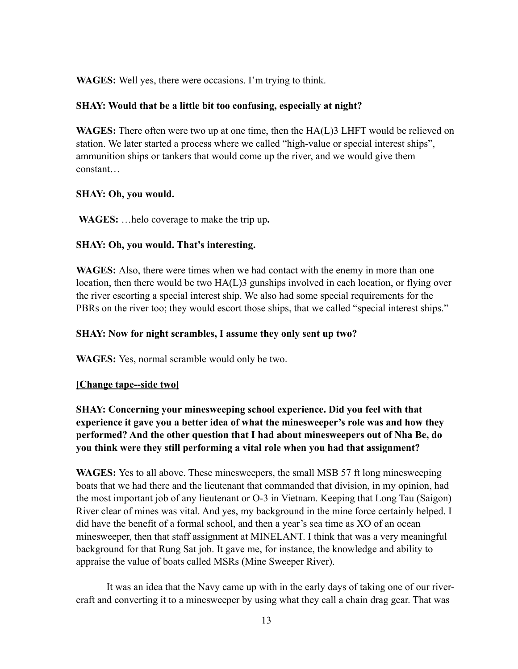**WAGES:** Well yes, there were occasions. I'm trying to think.

### **SHAY: Would that be a little bit too confusing, especially at night?**

**WAGES:** There often were two up at one time, then the HA(L)3 LHFT would be relieved on station. We later started a process where we called "high-value or special interest ships", ammunition ships or tankers that would come up the river, and we would give them constant…

### **SHAY: Oh, you would.**

**WAGES:** …helo coverage to make the trip up**.**

### **SHAY: Oh, you would. That's interesting.**

**WAGES:** Also, there were times when we had contact with the enemy in more than one location, then there would be two HA(L)3 gunships involved in each location, or flying over the river escorting a special interest ship. We also had some special requirements for the PBRs on the river too; they would escort those ships, that we called "special interest ships."

### **SHAY: Now for night scrambles, I assume they only sent up two?**

**WAGES:** Yes, normal scramble would only be two.

#### **[Change tape--side two]**

**SHAY: Concerning your minesweeping school experience. Did you feel with that experience it gave you a better idea of what the minesweeper's role was and how they performed? And the other question that I had about minesweepers out of Nha Be, do you think were they still performing a vital role when you had that assignment?** 

**WAGES:** Yes to all above. These minesweepers, the small MSB 57 ft long minesweeping boats that we had there and the lieutenant that commanded that division, in my opinion, had the most important job of any lieutenant or O-3 in Vietnam. Keeping that Long Tau (Saigon) River clear of mines was vital. And yes, my background in the mine force certainly helped. I did have the benefit of a formal school, and then a year's sea time as XO of an ocean minesweeper, then that staff assignment at MINELANT. I think that was a very meaningful background for that Rung Sat job. It gave me, for instance, the knowledge and ability to appraise the value of boats called MSRs (Mine Sweeper River).

It was an idea that the Navy came up with in the early days of taking one of our rivercraft and converting it to a minesweeper by using what they call a chain drag gear. That was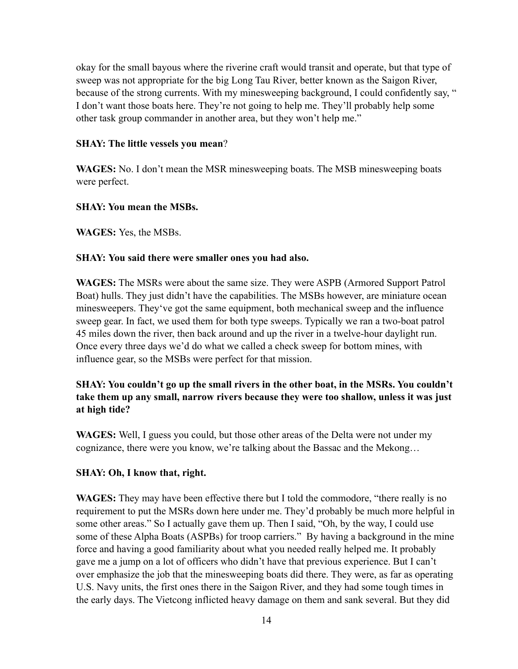okay for the small bayous where the riverine craft would transit and operate, but that type of sweep was not appropriate for the big Long Tau River, better known as the Saigon River, because of the strong currents. With my minesweeping background, I could confidently say, " I don't want those boats here. They're not going to help me. They'll probably help some other task group commander in another area, but they won't help me."

### **SHAY: The little vessels you mean**?

**WAGES:** No. I don't mean the MSR minesweeping boats. The MSB minesweeping boats were perfect.

# **SHAY: You mean the MSBs.**

**WAGES:** Yes, the MSBs.

### **SHAY: You said there were smaller ones you had also.**

**WAGES:** The MSRs were about the same size. They were ASPB (Armored Support Patrol Boat) hulls. They just didn't have the capabilities. The MSBs however, are miniature ocean minesweepers. They've got the same equipment, both mechanical sweep and the influence sweep gear. In fact, we used them for both type sweeps. Typically we ran a two-boat patrol 45 miles down the river, then back around and up the river in a twelve-hour daylight run. Once every three days we'd do what we called a check sweep for bottom mines, with influence gear, so the MSBs were perfect for that mission.

# **SHAY: You couldn't go up the small rivers in the other boat, in the MSRs. You couldn't take them up any small, narrow rivers because they were too shallow, unless it was just at high tide?**

**WAGES:** Well, I guess you could, but those other areas of the Delta were not under my cognizance, there were you know, we're talking about the Bassac and the Mekong…

#### **SHAY: Oh, I know that, right.**

**WAGES:** They may have been effective there but I told the commodore, "there really is no requirement to put the MSRs down here under me. They'd probably be much more helpful in some other areas." So I actually gave them up. Then I said, "Oh, by the way, I could use some of these Alpha Boats (ASPBs) for troop carriers." By having a background in the mine force and having a good familiarity about what you needed really helped me. It probably gave me a jump on a lot of officers who didn't have that previous experience. But I can't over emphasize the job that the minesweeping boats did there. They were, as far as operating U.S. Navy units, the first ones there in the Saigon River, and they had some tough times in the early days. The Vietcong inflicted heavy damage on them and sank several. But they did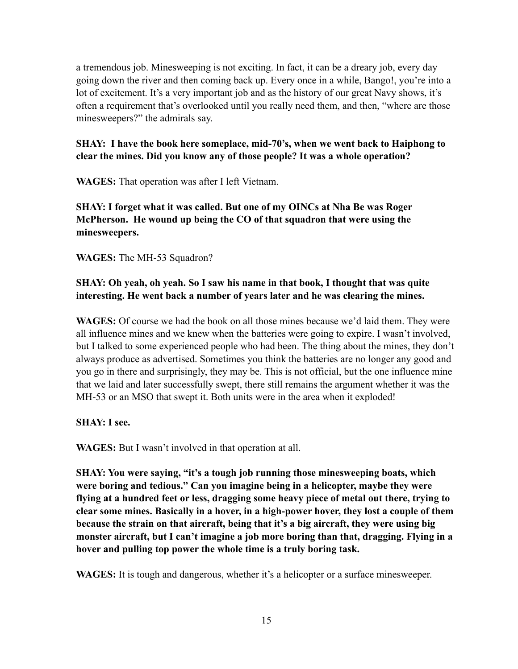a tremendous job. Minesweeping is not exciting. In fact, it can be a dreary job, every day going down the river and then coming back up. Every once in a while, Bango!, you're into a lot of excitement. It's a very important job and as the history of our great Navy shows, it's often a requirement that's overlooked until you really need them, and then, "where are those minesweepers?" the admirals say.

# **SHAY: I have the book here someplace, mid-70's, when we went back to Haiphong to clear the mines. Did you know any of those people? It was a whole operation?**

**WAGES:** That operation was after I left Vietnam.

**SHAY: I forget what it was called. But one of my OINCs at Nha Be was Roger McPherson. He wound up being the CO of that squadron that were using the minesweepers.**

**WAGES:** The MH-53 Squadron?

# **SHAY: Oh yeah, oh yeah. So I saw his name in that book, I thought that was quite interesting. He went back a number of years later and he was clearing the mines.**

**WAGES:** Of course we had the book on all those mines because we'd laid them. They were all influence mines and we knew when the batteries were going to expire. I wasn't involved, but I talked to some experienced people who had been. The thing about the mines, they don't always produce as advertised. Sometimes you think the batteries are no longer any good and you go in there and surprisingly, they may be. This is not official, but the one influence mine that we laid and later successfully swept, there still remains the argument whether it was the MH-53 or an MSO that swept it. Both units were in the area when it exploded!

# **SHAY: I see.**

**WAGES:** But I wasn't involved in that operation at all.

**SHAY: You were saying, "it's a tough job running those minesweeping boats, which were boring and tedious." Can you imagine being in a helicopter, maybe they were flying at a hundred feet or less, dragging some heavy piece of metal out there, trying to clear some mines. Basically in a hover, in a high-power hover, they lost a couple of them because the strain on that aircraft, being that it's a big aircraft, they were using big monster aircraft, but I can't imagine a job more boring than that, dragging. Flying in a hover and pulling top power the whole time is a truly boring task.** 

**WAGES:** It is tough and dangerous, whether it's a helicopter or a surface minesweeper.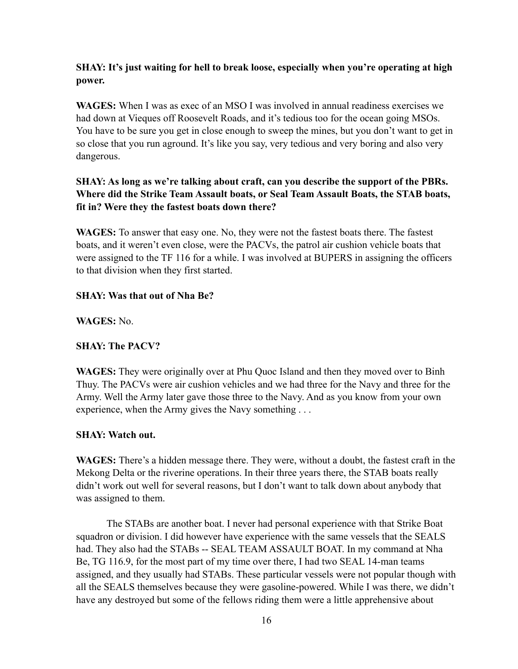# **SHAY: It's just waiting for hell to break loose, especially when you're operating at high power.**

**WAGES:** When I was as exec of an MSO I was involved in annual readiness exercises we had down at Vieques off Roosevelt Roads, and it's tedious too for the ocean going MSOs. You have to be sure you get in close enough to sweep the mines, but you don't want to get in so close that you run aground. It's like you say, very tedious and very boring and also very dangerous.

# **SHAY: As long as we're talking about craft, can you describe the support of the PBRs. Where did the Strike Team Assault boats, or Seal Team Assault Boats, the STAB boats, fit in? Were they the fastest boats down there?**

**WAGES:** To answer that easy one. No, they were not the fastest boats there. The fastest boats, and it weren't even close, were the PACVs, the patrol air cushion vehicle boats that were assigned to the TF 116 for a while. I was involved at BUPERS in assigning the officers to that division when they first started.

# **SHAY: Was that out of Nha Be?**

**WAGES:** No.

# **SHAY: The PACV?**

**WAGES:** They were originally over at Phu Quoc Island and then they moved over to Binh Thuy. The PACVs were air cushion vehicles and we had three for the Navy and three for the Army. Well the Army later gave those three to the Navy. And as you know from your own experience, when the Army gives the Navy something . . .

# **SHAY: Watch out.**

**WAGES:** There's a hidden message there. They were, without a doubt, the fastest craft in the Mekong Delta or the riverine operations. In their three years there, the STAB boats really didn't work out well for several reasons, but I don't want to talk down about anybody that was assigned to them.

The STABs are another boat. I never had personal experience with that Strike Boat squadron or division. I did however have experience with the same vessels that the SEALS had. They also had the STABs -- SEAL TEAM ASSAULT BOAT. In my command at Nha Be, TG 116.9, for the most part of my time over there, I had two SEAL 14-man teams assigned, and they usually had STABs. These particular vessels were not popular though with all the SEALS themselves because they were gasoline-powered. While I was there, we didn't have any destroyed but some of the fellows riding them were a little apprehensive about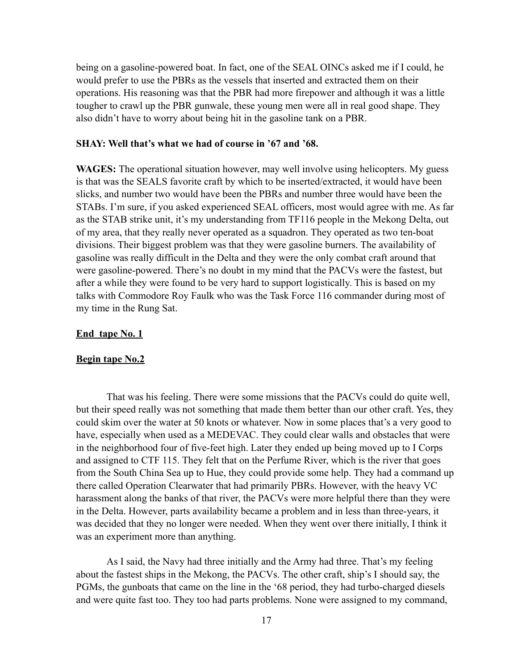being on a gasoline-powered boat. In fact, one of the SEAL OINCs asked me if I could, he would prefer to use the PBRs as the vessels that inserted and extracted them on their operations. His reasoning was that the PBR had more firepower and although it was a little tougher to crawl up the PBR gunwale, these young men were all in real good shape. They also didn't have to worry about being hit in the gasoline tank on a PBR.

#### **SHAY: Well that's what we had of course in '67 and '68.**

**WAGES:** The operational situation however, may well involve using helicopters. My guess is that was the SEALS favorite craft by which to be inserted/extracted, it would have been slicks, and number two would have been the PBRs and number three would have been the STABs. I'm sure, if you asked experienced SEAL officers, most would agree with me. As far as the STAB strike unit, it's my understanding from TF116 people in the Mekong Delta, out of my area, that they really never operated as a squadron. They operated as two ten-boat divisions. Their biggest problem was that they were gasoline burners. The availability of gasoline was really difficult in the Delta and they were the only combat craft around that were gasoline-powered. There's no doubt in my mind that the PACVs were the fastest, but after a while they were found to be very hard to support logistically. This is based on my talks with Commodore Roy Faulk who was the Task Force 116 commander during most of my time in the Rung Sat.

#### **End tape No. 1**

#### **Begin tape No.2**

That was his feeling. There were some missions that the PACVs could do quite well, but their speed really was not something that made them better than our other craft. Yes, they could skim over the water at 50 knots or whatever. Now in some places that's a very good to have, especially when used as a MEDEVAC. They could clear walls and obstacles that were in the neighborhood four of five-feet high. Later they ended up being moved up to I Corps and assigned to CTF 115. They felt that on the Perfume River, which is the river that goes from the South China Sea up to Hue, they could provide some help. They had a command up there called Operation Clearwater that had primarily PBRs. However, with the heavy VC harassment along the banks of that river, the PACVs were more helpful there than they were in the Delta. However, parts availability became a problem and in less than three-years, it was decided that they no longer were needed. When they went over there initially, I think it was an experiment more than anything.

As I said, the Navy had three initially and the Army had three. That's my feeling about the fastest ships in the Mekong, the PACVs. The other craft, ship's I should say, the PGMs, the gunboats that came on the line in the '68 period, they had turbo-charged diesels and were quite fast too. They too had parts problems. None were assigned to my command,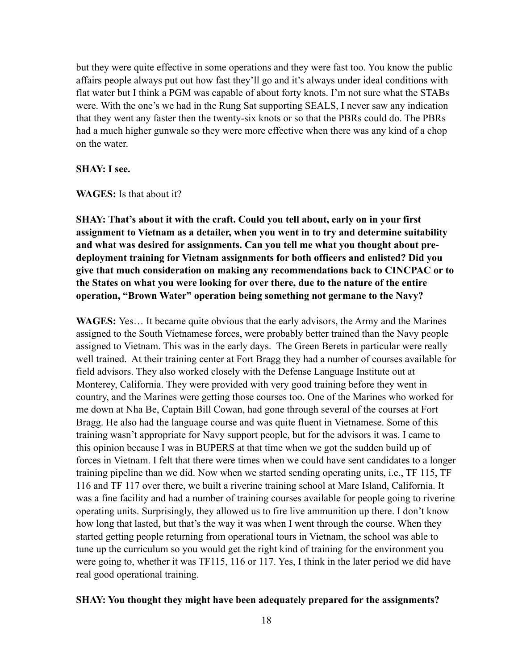but they were quite effective in some operations and they were fast too. You know the public affairs people always put out how fast they'll go and it's always under ideal conditions with flat water but I think a PGM was capable of about forty knots. I'm not sure what the STABs were. With the one's we had in the Rung Sat supporting SEALS, I never saw any indication that they went any faster then the twenty-six knots or so that the PBRs could do. The PBRs had a much higher gunwale so they were more effective when there was any kind of a chop on the water.

#### **SHAY: I see.**

**WAGES:** Is that about it?

**SHAY: That's about it with the craft. Could you tell about, early on in your first assignment to Vietnam as a detailer, when you went in to try and determine suitability and what was desired for assignments. Can you tell me what you thought about predeployment training for Vietnam assignments for both officers and enlisted? Did you give that much consideration on making any recommendations back to CINCPAC or to the States on what you were looking for over there, due to the nature of the entire operation, "Brown Water" operation being something not germane to the Navy?**

**WAGES:** Yes… It became quite obvious that the early advisors, the Army and the Marines assigned to the South Vietnamese forces, were probably better trained than the Navy people assigned to Vietnam. This was in the early days. The Green Berets in particular were really well trained. At their training center at Fort Bragg they had a number of courses available for field advisors. They also worked closely with the Defense Language Institute out at Monterey, California. They were provided with very good training before they went in country, and the Marines were getting those courses too. One of the Marines who worked for me down at Nha Be, Captain Bill Cowan, had gone through several of the courses at Fort Bragg. He also had the language course and was quite fluent in Vietnamese. Some of this training wasn't appropriate for Navy support people, but for the advisors it was. I came to this opinion because I was in BUPERS at that time when we got the sudden build up of forces in Vietnam. I felt that there were times when we could have sent candidates to a longer training pipeline than we did. Now when we started sending operating units, i.e., TF 115, TF 116 and TF 117 over there, we built a riverine training school at Mare Island, California. It was a fine facility and had a number of training courses available for people going to riverine operating units. Surprisingly, they allowed us to fire live ammunition up there. I don't know how long that lasted, but that's the way it was when I went through the course. When they started getting people returning from operational tours in Vietnam, the school was able to tune up the curriculum so you would get the right kind of training for the environment you were going to, whether it was TF115, 116 or 117. Yes, I think in the later period we did have real good operational training.

#### **SHAY: You thought they might have been adequately prepared for the assignments?**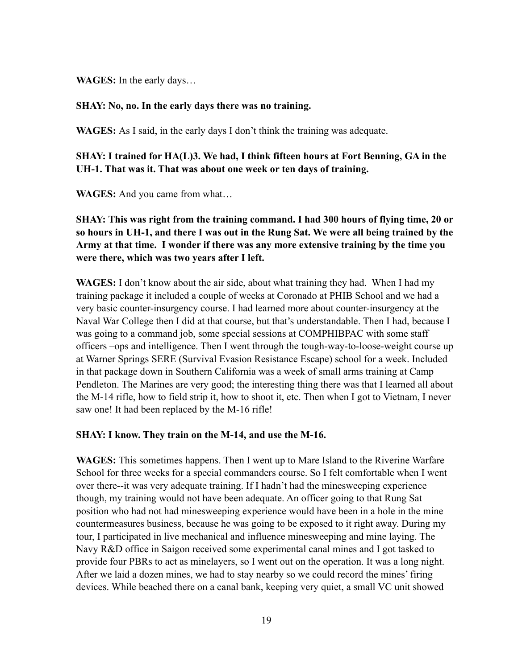**WAGES:** In the early days…

### **SHAY: No, no. In the early days there was no training.**

**WAGES:** As I said, in the early days I don't think the training was adequate.

**SHAY: I trained for HA(L)3. We had, I think fifteen hours at Fort Benning, GA in the UH-1. That was it. That was about one week or ten days of training.** 

**WAGES:** And you came from what…

**SHAY: This was right from the training command. I had 300 hours of flying time, 20 or so hours in UH-1, and there I was out in the Rung Sat. We were all being trained by the Army at that time. I wonder if there was any more extensive training by the time you were there, which was two years after I left.**

**WAGES:** I don't know about the air side, about what training they had. When I had my training package it included a couple of weeks at Coronado at PHIB School and we had a very basic counter-insurgency course. I had learned more about counter-insurgency at the Naval War College then I did at that course, but that's understandable. Then I had, because I was going to a command job, some special sessions at COMPHIBPAC with some staff officers –ops and intelligence. Then I went through the tough-way-to-loose-weight course up at Warner Springs SERE (Survival Evasion Resistance Escape) school for a week. Included in that package down in Southern California was a week of small arms training at Camp Pendleton. The Marines are very good; the interesting thing there was that I learned all about the M-14 rifle, how to field strip it, how to shoot it, etc. Then when I got to Vietnam, I never saw one! It had been replaced by the M-16 rifle!

# **SHAY: I know. They train on the M-14, and use the M-16.**

**WAGES:** This sometimes happens. Then I went up to Mare Island to the Riverine Warfare School for three weeks for a special commanders course. So I felt comfortable when I went over there--it was very adequate training. If I hadn't had the minesweeping experience though, my training would not have been adequate. An officer going to that Rung Sat position who had not had minesweeping experience would have been in a hole in the mine countermeasures business, because he was going to be exposed to it right away. During my tour, I participated in live mechanical and influence minesweeping and mine laying. The Navy R&D office in Saigon received some experimental canal mines and I got tasked to provide four PBRs to act as minelayers, so I went out on the operation. It was a long night. After we laid a dozen mines, we had to stay nearby so we could record the mines' firing devices. While beached there on a canal bank, keeping very quiet, a small VC unit showed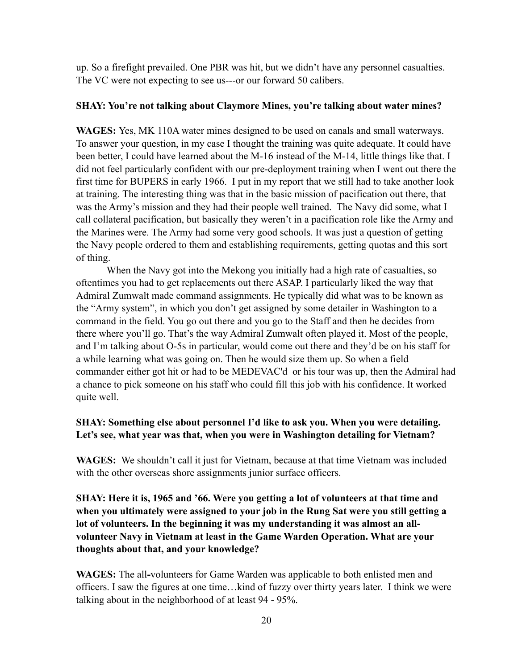up. So a firefight prevailed. One PBR was hit, but we didn't have any personnel casualties. The VC were not expecting to see us---or our forward 50 calibers.

#### **SHAY: You're not talking about Claymore Mines, you're talking about water mines?**

**WAGES:** Yes, MK 110A water mines designed to be used on canals and small waterways. To answer your question, in my case I thought the training was quite adequate. It could have been better, I could have learned about the M-16 instead of the M-14, little things like that. I did not feel particularly confident with our pre-deployment training when I went out there the first time for BUPERS in early 1966. I put in my report that we still had to take another look at training. The interesting thing was that in the basic mission of pacification out there, that was the Army's mission and they had their people well trained. The Navy did some, what I call collateral pacification, but basically they weren't in a pacification role like the Army and the Marines were. The Army had some very good schools. It was just a question of getting the Navy people ordered to them and establishing requirements, getting quotas and this sort of thing.

When the Navy got into the Mekong you initially had a high rate of casualties, so oftentimes you had to get replacements out there ASAP. I particularly liked the way that Admiral Zumwalt made command assignments. He typically did what was to be known as the "Army system", in which you don't get assigned by some detailer in Washington to a command in the field. You go out there and you go to the Staff and then he decides from there where you'll go. That's the way Admiral Zumwalt often played it. Most of the people, and I'm talking about O-5s in particular, would come out there and they'd be on his staff for a while learning what was going on. Then he would size them up. So when a field commander either got hit or had to be MEDEVAC'd or his tour was up, then the Admiral had a chance to pick someone on his staff who could fill this job with his confidence. It worked quite well.

### **SHAY: Something else about personnel I'd like to ask you. When you were detailing. Let's see, what year was that, when you were in Washington detailing for Vietnam?**

**WAGES:** We shouldn't call it just for Vietnam, because at that time Vietnam was included with the other overseas shore assignments junior surface officers.

**SHAY: Here it is, 1965 and '66. Were you getting a lot of volunteers at that time and when you ultimately were assigned to your job in the Rung Sat were you still getting a lot of volunteers. In the beginning it was my understanding it was almost an allvolunteer Navy in Vietnam at least in the Game Warden Operation. What are your thoughts about that, and your knowledge?**

**WAGES:** The all**-**volunteers for Game Warden was applicable to both enlisted men and officers. I saw the figures at one time…kind of fuzzy over thirty years later. I think we were talking about in the neighborhood of at least 94 - 95%.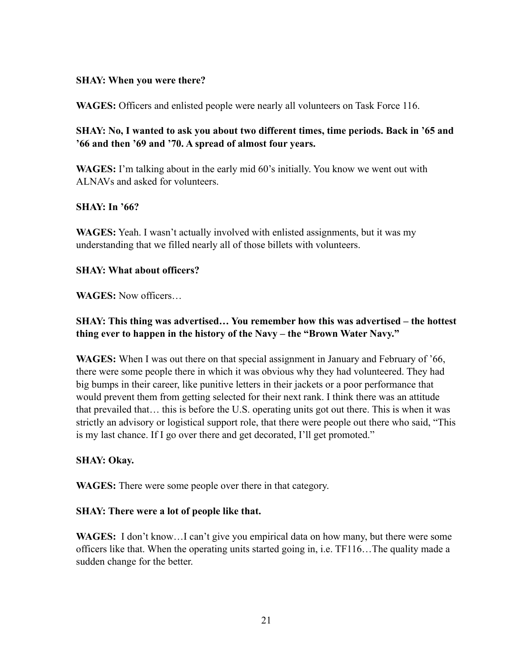### **SHAY: When you were there?**

**WAGES:** Officers and enlisted people were nearly all volunteers on Task Force 116.

**SHAY: No, I wanted to ask you about two different times, time periods. Back in '65 and '66 and then '69 and '70. A spread of almost four years.**

**WAGES:** I'm talking about in the early mid 60's initially. You know we went out with ALNAVs and asked for volunteers.

# **SHAY: In '66?**

**WAGES:** Yeah. I wasn't actually involved with enlisted assignments, but it was my understanding that we filled nearly all of those billets with volunteers.

### **SHAY: What about officers?**

**WAGES:** Now officers…

# **SHAY: This thing was advertised… You remember how this was advertised – the hottest thing ever to happen in the history of the Navy – the "Brown Water Navy."**

**WAGES:** When I was out there on that special assignment in January and February of '66, there were some people there in which it was obvious why they had volunteered. They had big bumps in their career, like punitive letters in their jackets or a poor performance that would prevent them from getting selected for their next rank. I think there was an attitude that prevailed that… this is before the U.S. operating units got out there. This is when it was strictly an advisory or logistical support role, that there were people out there who said, "This is my last chance. If I go over there and get decorated, I'll get promoted."

#### **SHAY: Okay.**

**WAGES:** There were some people over there in that category.

# **SHAY: There were a lot of people like that.**

**WAGES:** I don't know…I can't give you empirical data on how many, but there were some officers like that. When the operating units started going in, i.e. TF116…The quality made a sudden change for the better.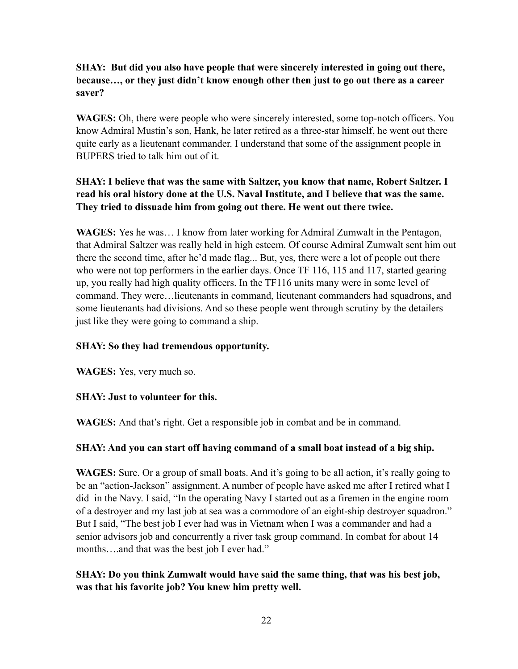# **SHAY: But did you also have people that were sincerely interested in going out there, because…, or they just didn't know enough other then just to go out there as a career saver?**

**WAGES:** Oh, there were people who were sincerely interested, some top-notch officers. You know Admiral Mustin's son, Hank, he later retired as a three-star himself, he went out there quite early as a lieutenant commander. I understand that some of the assignment people in BUPERS tried to talk him out of it.

# **SHAY: I believe that was the same with Saltzer, you know that name, Robert Saltzer. I read his oral history done at the U.S. Naval Institute, and I believe that was the same. They tried to dissuade him from going out there. He went out there twice.**

**WAGES:** Yes he was… I know from later working for Admiral Zumwalt in the Pentagon, that Admiral Saltzer was really held in high esteem. Of course Admiral Zumwalt sent him out there the second time, after he'd made flag... But, yes, there were a lot of people out there who were not top performers in the earlier days. Once TF 116, 115 and 117, started gearing up, you really had high quality officers. In the TF116 units many were in some level of command. They were…lieutenants in command, lieutenant commanders had squadrons, and some lieutenants had divisions. And so these people went through scrutiny by the detailers just like they were going to command a ship.

# **SHAY: So they had tremendous opportunity.**

**WAGES:** Yes, very much so.

# **SHAY: Just to volunteer for this.**

**WAGES:** And that's right. Get a responsible job in combat and be in command.

# **SHAY: And you can start off having command of a small boat instead of a big ship.**

**WAGES:** Sure. Or a group of small boats. And it's going to be all action, it's really going to be an "action-Jackson" assignment. A number of people have asked me after I retired what I did in the Navy. I said, "In the operating Navy I started out as a firemen in the engine room of a destroyer and my last job at sea was a commodore of an eight-ship destroyer squadron." But I said, "The best job I ever had was in Vietnam when I was a commander and had a senior advisors job and concurrently a river task group command. In combat for about 14 months....and that was the best job I ever had."

# **SHAY: Do you think Zumwalt would have said the same thing, that was his best job, was that his favorite job? You knew him pretty well.**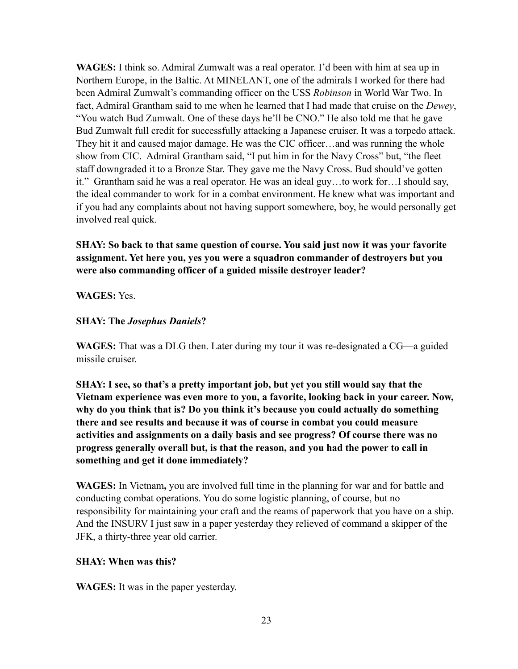**WAGES:** I think so. Admiral Zumwalt was a real operator. I'd been with him at sea up in Northern Europe, in the Baltic. At MINELANT, one of the admirals I worked for there had been Admiral Zumwalt's commanding officer on the USS *Robinson* in World War Two. In fact, Admiral Grantham said to me when he learned that I had made that cruise on the *Dewey*, "You watch Bud Zumwalt. One of these days he'll be CNO." He also told me that he gave Bud Zumwalt full credit for successfully attacking a Japanese cruiser. It was a torpedo attack. They hit it and caused major damage. He was the CIC officer…and was running the whole show from CIC. Admiral Grantham said, "I put him in for the Navy Cross" but, "the fleet staff downgraded it to a Bronze Star. They gave me the Navy Cross. Bud should've gotten it." Grantham said he was a real operator. He was an ideal guy…to work for…I should say, the ideal commander to work for in a combat environment. He knew what was important and if you had any complaints about not having support somewhere, boy, he would personally get involved real quick.

**SHAY: So back to that same question of course. You said just now it was your favorite assignment. Yet here you, yes you were a squadron commander of destroyers but you were also commanding officer of a guided missile destroyer leader?** 

### **WAGES:** Yes.

### **SHAY: The** *Josephus Daniels***?**

**WAGES:** That was a DLG then. Later during my tour it was re-designated a CG—a guided missile cruiser.

**SHAY: I see, so that's a pretty important job, but yet you still would say that the Vietnam experience was even more to you, a favorite, looking back in your career. Now, why do you think that is? Do you think it's because you could actually do something there and see results and because it was of course in combat you could measure activities and assignments on a daily basis and see progress? Of course there was no progress generally overall but, is that the reason, and you had the power to call in something and get it done immediately?**

**WAGES:** In Vietnam**,** you are involved full time in the planning for war and for battle and conducting combat operations. You do some logistic planning, of course, but no responsibility for maintaining your craft and the reams of paperwork that you have on a ship. And the INSURV I just saw in a paper yesterday they relieved of command a skipper of the JFK, a thirty-three year old carrier.

#### **SHAY: When was this?**

**WAGES:** It was in the paper yesterday.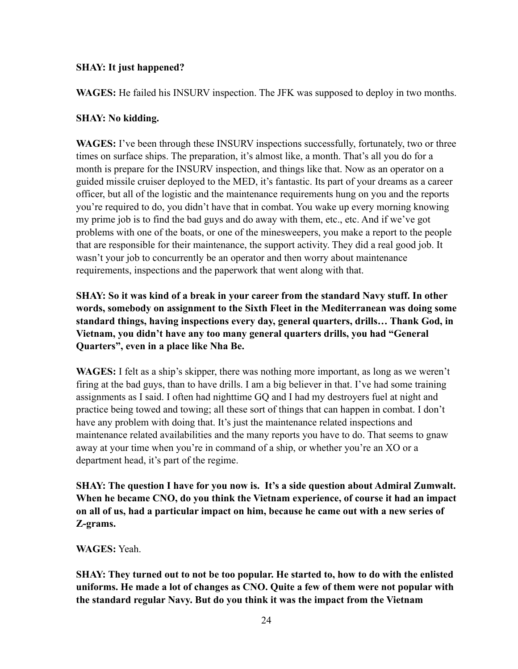# **SHAY: It just happened?**

**WAGES:** He failed his INSURV inspection. The JFK was supposed to deploy in two months.

# **SHAY: No kidding.**

**WAGES:** I've been through these INSURV inspections successfully, fortunately, two or three times on surface ships. The preparation, it's almost like, a month. That's all you do for a month is prepare for the INSURV inspection, and things like that. Now as an operator on a guided missile cruiser deployed to the MED, it's fantastic. Its part of your dreams as a career officer, but all of the logistic and the maintenance requirements hung on you and the reports you're required to do, you didn't have that in combat. You wake up every morning knowing my prime job is to find the bad guys and do away with them, etc., etc. And if we've got problems with one of the boats, or one of the minesweepers, you make a report to the people that are responsible for their maintenance, the support activity. They did a real good job. It wasn't your job to concurrently be an operator and then worry about maintenance requirements, inspections and the paperwork that went along with that.

**SHAY: So it was kind of a break in your career from the standard Navy stuff. In other words, somebody on assignment to the Sixth Fleet in the Mediterranean was doing some standard things, having inspections every day, general quarters, drills… Thank God, in Vietnam, you didn't have any too many general quarters drills, you had "General Quarters", even in a place like Nha Be.** 

**WAGES:** I felt as a ship's skipper, there was nothing more important, as long as we weren't firing at the bad guys, than to have drills. I am a big believer in that. I've had some training assignments as I said. I often had nighttime GQ and I had my destroyers fuel at night and practice being towed and towing; all these sort of things that can happen in combat. I don't have any problem with doing that. It's just the maintenance related inspections and maintenance related availabilities and the many reports you have to do. That seems to gnaw away at your time when you're in command of a ship, or whether you're an XO or a department head, it's part of the regime.

**SHAY: The question I have for you now is. It's a side question about Admiral Zumwalt. When he became CNO, do you think the Vietnam experience, of course it had an impact on all of us, had a particular impact on him, because he came out with a new series of Z-grams.**

**WAGES:** Yeah.

**SHAY: They turned out to not be too popular. He started to, how to do with the enlisted uniforms. He made a lot of changes as CNO. Quite a few of them were not popular with the standard regular Navy. But do you think it was the impact from the Vietnam**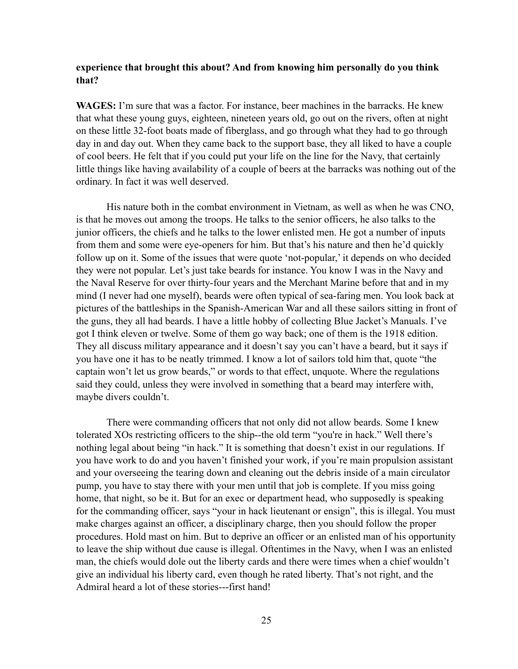#### **experience that brought this about? And from knowing him personally do you think that?**

**WAGES:** I'm sure that was a factor. For instance, beer machines in the barracks. He knew that what these young guys, eighteen, nineteen years old, go out on the rivers, often at night on these little 32-foot boats made of fiberglass, and go through what they had to go through day in and day out. When they came back to the support base, they all liked to have a couple of cool beers. He felt that if you could put your life on the line for the Navy, that certainly little things like having availability of a couple of beers at the barracks was nothing out of the ordinary. In fact it was well deserved.

His nature both in the combat environment in Vietnam, as well as when he was CNO, is that he moves out among the troops. He talks to the senior officers, he also talks to the junior officers, the chiefs and he talks to the lower enlisted men. He got a number of inputs from them and some were eye-openers for him. But that's his nature and then he'd quickly follow up on it. Some of the issues that were quote 'not-popular,' it depends on who decided they were not popular. Let's just take beards for instance. You know I was in the Navy and the Naval Reserve for over thirty-four years and the Merchant Marine before that and in my mind (I never had one myself), beards were often typical of sea-faring men. You look back at pictures of the battleships in the Spanish-American War and all these sailors sitting in front of the guns, they all had beards. I have a little hobby of collecting Blue Jacket's Manuals. I've got I think eleven or twelve. Some of them go way back; one of them is the 1918 edition. They all discuss military appearance and it doesn't say you can't have a beard, but it says if you have one it has to be neatly trimmed. I know a lot of sailors told him that, quote "the captain won't let us grow beards," or words to that effect, unquote. Where the regulations said they could, unless they were involved in something that a beard may interfere with, maybe divers couldn't.

There were commanding officers that not only did not allow beards. Some I knew tolerated XOs restricting officers to the ship--the old term "you're in hack." Well there's nothing legal about being "in hack." It is something that doesn't exist in our regulations. If you have work to do and you haven't finished your work, if you're main propulsion assistant and your overseeing the tearing down and cleaning out the debris inside of a main circulator pump, you have to stay there with your men until that job is complete. If you miss going home, that night, so be it. But for an exec or department head, who supposedly is speaking for the commanding officer, says "your in hack lieutenant or ensign", this is illegal. You must make charges against an officer, a disciplinary charge, then you should follow the proper procedures. Hold mast on him. But to deprive an officer or an enlisted man of his opportunity to leave the ship without due cause is illegal. Oftentimes in the Navy, when I was an enlisted man, the chiefs would dole out the liberty cards and there were times when a chief wouldn't give an individual his liberty card, even though he rated liberty. That's not right, and the Admiral heard a lot of these stories---first hand!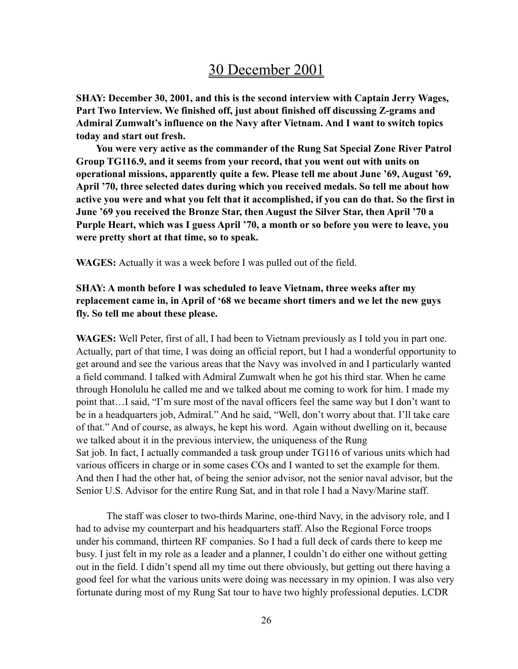# 30 December 2001

**SHAY: December 30, 2001, and this is the second interview with Captain Jerry Wages, Part Two Interview. We finished off, just about finished off discussing Z-grams and Admiral Zumwalt's influence on the Navy after Vietnam. And I want to switch topics today and start out fresh.**

 **You were very active as the commander of the Rung Sat Special Zone River Patrol Group TG116.9, and it seems from your record, that you went out with units on operational missions, apparently quite a few. Please tell me about June '69, August '69, April '70, three selected dates during which you received medals. So tell me about how active you were and what you felt that it accomplished, if you can do that. So the first in June '69 you received the Bronze Star, then August the Silver Star, then April '70 a Purple Heart, which was I guess April '70, a month or so before you were to leave, you were pretty short at that time, so to speak.**

**WAGES:** Actually it was a week before I was pulled out of the field.

# **SHAY: A month before I was scheduled to leave Vietnam, three weeks after my replacement came in, in April of '68 we became short timers and we let the new guys fly. So tell me about these please.**

**WAGES:** Well Peter, first of all, I had been to Vietnam previously as I told you in part one. Actually, part of that time, I was doing an official report, but I had a wonderful opportunity to get around and see the various areas that the Navy was involved in and I particularly wanted a field command. I talked with Admiral Zumwalt when he got his third star. When he came through Honolulu he called me and we talked about me coming to work for him. I made my point that…I said, "I'm sure most of the naval officers feel the same way but I don't want to be in a headquarters job, Admiral." And he said, "Well, don't worry about that. I'll take care of that." And of course, as always, he kept his word. Again without dwelling on it, because we talked about it in the previous interview, the uniqueness of the Rung Sat job. In fact, I actually commanded a task group under TG116 of various units which had various officers in charge or in some cases COs and I wanted to set the example for them. And then I had the other hat, of being the senior advisor, not the senior naval advisor, but the Senior U.S. Advisor for the entire Rung Sat, and in that role I had a Navy/Marine staff.

The staff was closer to two-thirds Marine, one-third Navy, in the advisory role, and I had to advise my counterpart and his headquarters staff. Also the Regional Force troops under his command, thirteen RF companies. So I had a full deck of cards there to keep me busy. I just felt in my role as a leader and a planner, I couldn't do either one without getting out in the field. I didn't spend all my time out there obviously, but getting out there having a good feel for what the various units were doing was necessary in my opinion. I was also very fortunate during most of my Rung Sat tour to have two highly professional deputies. LCDR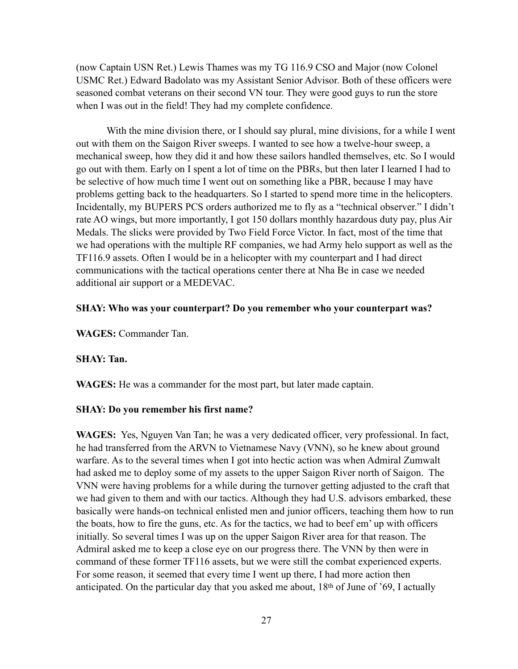(now Captain USN Ret.) Lewis Thames was my TG 116.9 CSO and Major (now Colonel USMC Ret.) Edward Badolato was my Assistant Senior Advisor. Both of these officers were seasoned combat veterans on their second VN tour. They were good guys to run the store when I was out in the field! They had my complete confidence.

With the mine division there, or I should say plural, mine divisions, for a while I went out with them on the Saigon River sweeps. I wanted to see how a twelve-hour sweep, a mechanical sweep, how they did it and how these sailors handled themselves, etc. So I would go out with them. Early on I spent a lot of time on the PBRs, but then later I learned I had to be selective of how much time I went out on something like a PBR, because I may have problems getting back to the headquarters. So I started to spend more time in the helicopters. Incidentally, my BUPERS PCS orders authorized me to fly as a "technical observer." I didn't rate AO wings, but more importantly, I got 150 dollars monthly hazardous duty pay, plus Air Medals. The slicks were provided by Two Field Force Victor. In fact, most of the time that we had operations with the multiple RF companies, we had Army helo support as well as the TF116.9 assets. Often I would be in a helicopter with my counterpart and I had direct communications with the tactical operations center there at Nha Be in case we needed additional air support or a MEDEVAC.

#### **SHAY: Who was your counterpart? Do you remember who your counterpart was?**

**WAGES:** Commander Tan.

#### **SHAY: Tan.**

**WAGES:** He was a commander for the most part, but later made captain.

#### **SHAY: Do you remember his first name?**

**WAGES:** Yes, Nguyen Van Tan; he was a very dedicated officer, very professional. In fact, he had transferred from the ARVN to Vietnamese Navy (VNN), so he knew about ground warfare. As to the several times when I got into hectic action was when Admiral Zumwalt had asked me to deploy some of my assets to the upper Saigon River north of Saigon. The VNN were having problems for a while during the turnover getting adjusted to the craft that we had given to them and with our tactics. Although they had U.S. advisors embarked, these basically were hands-on technical enlisted men and junior officers, teaching them how to run the boats, how to fire the guns, etc. As for the tactics, we had to beef em' up with officers initially. So several times I was up on the upper Saigon River area for that reason. The Admiral asked me to keep a close eye on our progress there. The VNN by then were in command of these former TF116 assets, but we were still the combat experienced experts. For some reason, it seemed that every time I went up there, I had more action then anticipated. On the particular day that you asked me about, 18th of June of '69, I actually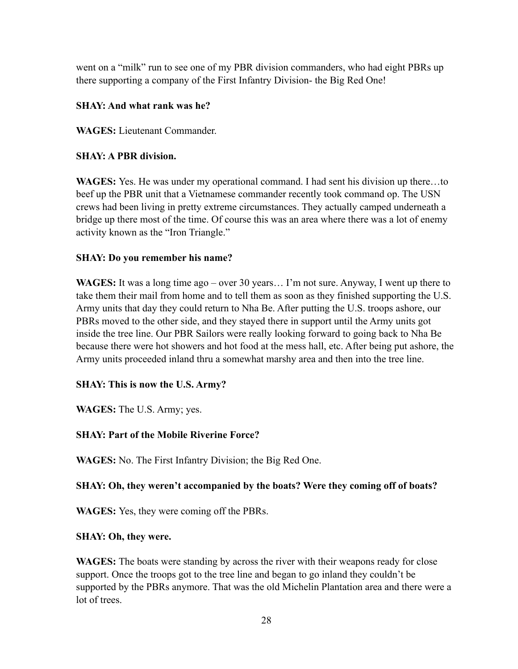went on a "milk" run to see one of my PBR division commanders, who had eight PBRs up there supporting a company of the First Infantry Division- the Big Red One!

# **SHAY: And what rank was he?**

**WAGES:** Lieutenant Commander.

# **SHAY: A PBR division.**

**WAGES:** Yes. He was under my operational command. I had sent his division up there…to beef up the PBR unit that a Vietnamese commander recently took command op. The USN crews had been living in pretty extreme circumstances. They actually camped underneath a bridge up there most of the time. Of course this was an area where there was a lot of enemy activity known as the "Iron Triangle."

# **SHAY: Do you remember his name?**

**WAGES:** It was a long time ago – over 30 years… I'm not sure. Anyway, I went up there to take them their mail from home and to tell them as soon as they finished supporting the U.S. Army units that day they could return to Nha Be. After putting the U.S. troops ashore, our PBRs moved to the other side, and they stayed there in support until the Army units got inside the tree line. Our PBR Sailors were really looking forward to going back to Nha Be because there were hot showers and hot food at the mess hall, etc. After being put ashore, the Army units proceeded inland thru a somewhat marshy area and then into the tree line.

# **SHAY: This is now the U.S. Army?**

**WAGES:** The U.S. Army; yes.

# **SHAY: Part of the Mobile Riverine Force?**

**WAGES:** No. The First Infantry Division; the Big Red One.

# **SHAY: Oh, they weren't accompanied by the boats? Were they coming off of boats?**

**WAGES:** Yes, they were coming off the PBRs.

# **SHAY: Oh, they were.**

**WAGES:** The boats were standing by across the river with their weapons ready for close support. Once the troops got to the tree line and began to go inland they couldn't be supported by the PBRs anymore. That was the old Michelin Plantation area and there were a lot of trees.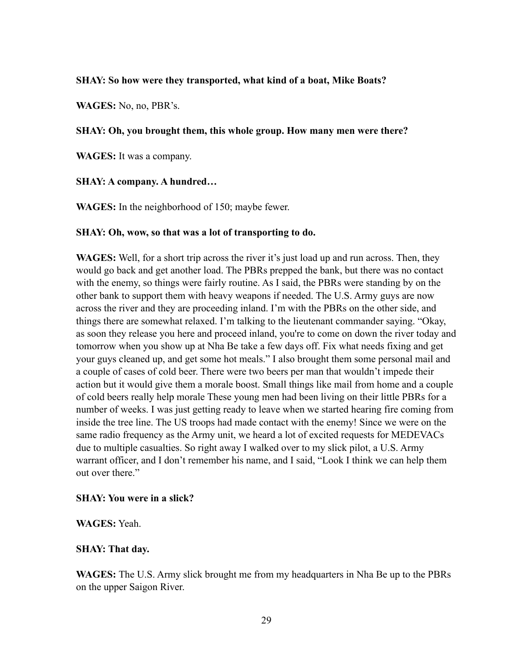#### **SHAY: So how were they transported, what kind of a boat, Mike Boats?**

**WAGES:** No, no, PBR's.

#### **SHAY: Oh, you brought them, this whole group. How many men were there?**

**WAGES:** It was a company.

#### **SHAY: A company. A hundred…**

**WAGES:** In the neighborhood of 150; maybe fewer.

#### **SHAY: Oh, wow, so that was a lot of transporting to do.**

**WAGES:** Well, for a short trip across the river it's just load up and run across. Then, they would go back and get another load. The PBRs prepped the bank, but there was no contact with the enemy, so things were fairly routine. As I said, the PBRs were standing by on the other bank to support them with heavy weapons if needed. The U.S. Army guys are now across the river and they are proceeding inland. I'm with the PBRs on the other side, and things there are somewhat relaxed. I'm talking to the lieutenant commander saying. "Okay, as soon they release you here and proceed inland, you're to come on down the river today and tomorrow when you show up at Nha Be take a few days off. Fix what needs fixing and get your guys cleaned up, and get some hot meals." I also brought them some personal mail and a couple of cases of cold beer. There were two beers per man that wouldn't impede their action but it would give them a morale boost. Small things like mail from home and a couple of cold beers really help morale These young men had been living on their little PBRs for a number of weeks. I was just getting ready to leave when we started hearing fire coming from inside the tree line. The US troops had made contact with the enemy! Since we were on the same radio frequency as the Army unit, we heard a lot of excited requests for MEDEVACs due to multiple casualties. So right away I walked over to my slick pilot, a U.S. Army warrant officer, and I don't remember his name, and I said, "Look I think we can help them out over there."

#### **SHAY: You were in a slick?**

#### **WAGES:** Yeah.

#### **SHAY: That day.**

**WAGES:** The U.S. Army slick brought me from my headquarters in Nha Be up to the PBRs on the upper Saigon River.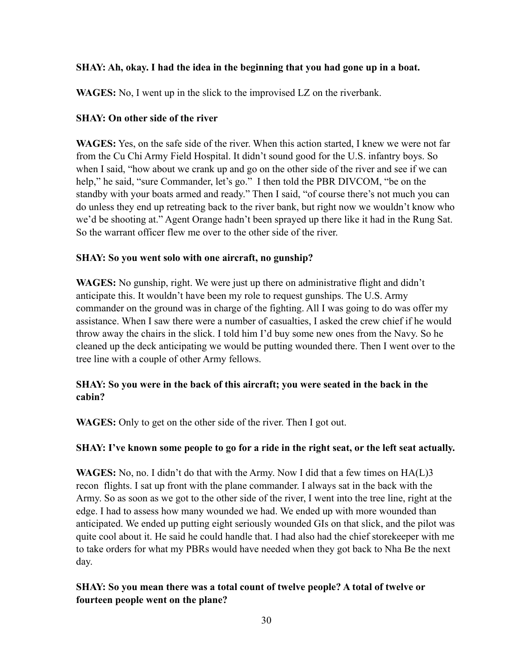# **SHAY: Ah, okay. I had the idea in the beginning that you had gone up in a boat.**

**WAGES:** No, I went up in the slick to the improvised LZ on the riverbank.

# **SHAY: On other side of the river**

**WAGES:** Yes, on the safe side of the river. When this action started, I knew we were not far from the Cu Chi Army Field Hospital. It didn't sound good for the U.S. infantry boys. So when I said, "how about we crank up and go on the other side of the river and see if we can help," he said, "sure Commander, let's go." I then told the PBR DIVCOM, "be on the standby with your boats armed and ready." Then I said, "of course there's not much you can do unless they end up retreating back to the river bank, but right now we wouldn't know who we'd be shooting at." Agent Orange hadn't been sprayed up there like it had in the Rung Sat. So the warrant officer flew me over to the other side of the river.

# **SHAY: So you went solo with one aircraft, no gunship?**

**WAGES:** No gunship, right. We were just up there on administrative flight and didn't anticipate this. It wouldn't have been my role to request gunships. The U.S. Army commander on the ground was in charge of the fighting. All I was going to do was offer my assistance. When I saw there were a number of casualties, I asked the crew chief if he would throw away the chairs in the slick. I told him I'd buy some new ones from the Navy. So he cleaned up the deck anticipating we would be putting wounded there. Then I went over to the tree line with a couple of other Army fellows.

# **SHAY: So you were in the back of this aircraft; you were seated in the back in the cabin?**

**WAGES:** Only to get on the other side of the river. Then I got out.

# **SHAY: I've known some people to go for a ride in the right seat, or the left seat actually.**

**WAGES:** No, no. I didn't do that with the Army. Now I did that a few times on HA(L)3 recon flights. I sat up front with the plane commander. I always sat in the back with the Army. So as soon as we got to the other side of the river, I went into the tree line, right at the edge. I had to assess how many wounded we had. We ended up with more wounded than anticipated. We ended up putting eight seriously wounded GIs on that slick, and the pilot was quite cool about it. He said he could handle that. I had also had the chief storekeeper with me to take orders for what my PBRs would have needed when they got back to Nha Be the next day.

# **SHAY: So you mean there was a total count of twelve people? A total of twelve or fourteen people went on the plane?**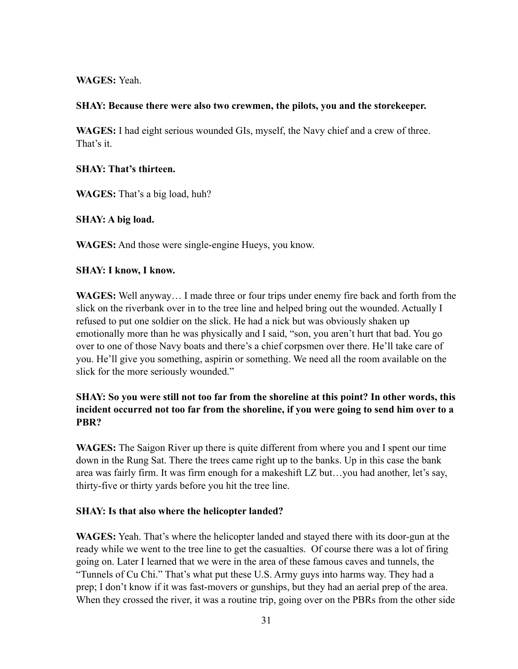### **WAGES:** Yeah.

#### **SHAY: Because there were also two crewmen, the pilots, you and the storekeeper.**

**WAGES:** I had eight serious wounded GIs, myself, the Navy chief and a crew of three. That's it.

### **SHAY: That's thirteen.**

**WAGES:** That's a big load, huh?

**SHAY: A big load.**

**WAGES:** And those were single-engine Hueys, you know.

#### **SHAY: I know, I know.**

**WAGES:** Well anyway… I made three or four trips under enemy fire back and forth from the slick on the riverbank over in to the tree line and helped bring out the wounded. Actually I refused to put one soldier on the slick. He had a nick but was obviously shaken up emotionally more than he was physically and I said, "son, you aren't hurt that bad. You go over to one of those Navy boats and there's a chief corpsmen over there. He'll take care of you. He'll give you something, aspirin or something. We need all the room available on the slick for the more seriously wounded."

# **SHAY: So you were still not too far from the shoreline at this point? In other words, this incident occurred not too far from the shoreline, if you were going to send him over to a PBR?**

**WAGES:** The Saigon River up there is quite different from where you and I spent our time down in the Rung Sat. There the trees came right up to the banks. Up in this case the bank area was fairly firm. It was firm enough for a makeshift LZ but…you had another, let's say, thirty-five or thirty yards before you hit the tree line.

# **SHAY: Is that also where the helicopter landed?**

**WAGES:** Yeah. That's where the helicopter landed and stayed there with its door-gun at the ready while we went to the tree line to get the casualties. Of course there was a lot of firing going on. Later I learned that we were in the area of these famous caves and tunnels, the "Tunnels of Cu Chi." That's what put these U.S. Army guys into harms way. They had a prep; I don't know if it was fast-movers or gunships, but they had an aerial prep of the area. When they crossed the river, it was a routine trip, going over on the PBRs from the other side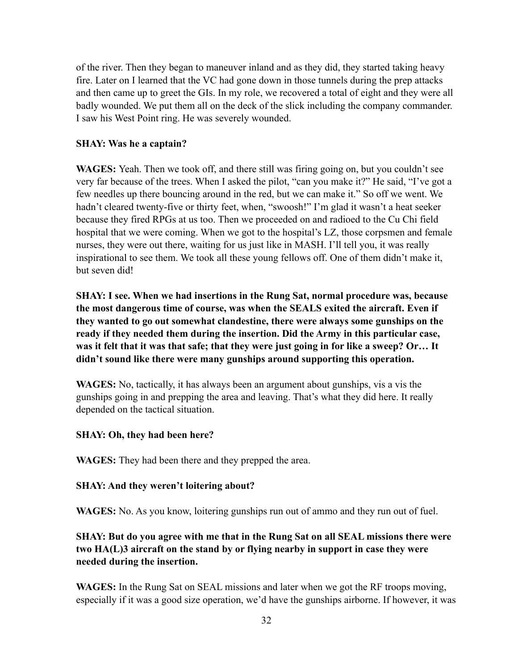of the river. Then they began to maneuver inland and as they did, they started taking heavy fire. Later on I learned that the VC had gone down in those tunnels during the prep attacks and then came up to greet the GIs. In my role, we recovered a total of eight and they were all badly wounded. We put them all on the deck of the slick including the company commander. I saw his West Point ring. He was severely wounded.

#### **SHAY: Was he a captain?**

**WAGES:** Yeah. Then we took off, and there still was firing going on, but you couldn't see very far because of the trees. When I asked the pilot, "can you make it?" He said, "I've got a few needles up there bouncing around in the red, but we can make it." So off we went. We hadn't cleared twenty-five or thirty feet, when, "swoosh!" I'm glad it wasn't a heat seeker because they fired RPGs at us too. Then we proceeded on and radioed to the Cu Chi field hospital that we were coming. When we got to the hospital's LZ, those corpsmen and female nurses, they were out there, waiting for us just like in MASH. I'll tell you, it was really inspirational to see them. We took all these young fellows off. One of them didn't make it, but seven did!

**SHAY: I see. When we had insertions in the Rung Sat, normal procedure was, because the most dangerous time of course, was when the SEALS exited the aircraft. Even if they wanted to go out somewhat clandestine, there were always some gunships on the ready if they needed them during the insertion. Did the Army in this particular case, was it felt that it was that safe; that they were just going in for like a sweep? Or… It didn't sound like there were many gunships around supporting this operation.**

**WAGES:** No, tactically, it has always been an argument about gunships, vis a vis the gunships going in and prepping the area and leaving. That's what they did here. It really depended on the tactical situation.

#### **SHAY: Oh, they had been here?**

**WAGES:** They had been there and they prepped the area.

#### **SHAY: And they weren't loitering about?**

**WAGES:** No. As you know, loitering gunships run out of ammo and they run out of fuel.

**SHAY: But do you agree with me that in the Rung Sat on all SEAL missions there were two HA(L)3 aircraft on the stand by or flying nearby in support in case they were needed during the insertion.**

**WAGES:** In the Rung Sat on SEAL missions and later when we got the RF troops moving, especially if it was a good size operation, we'd have the gunships airborne. If however, it was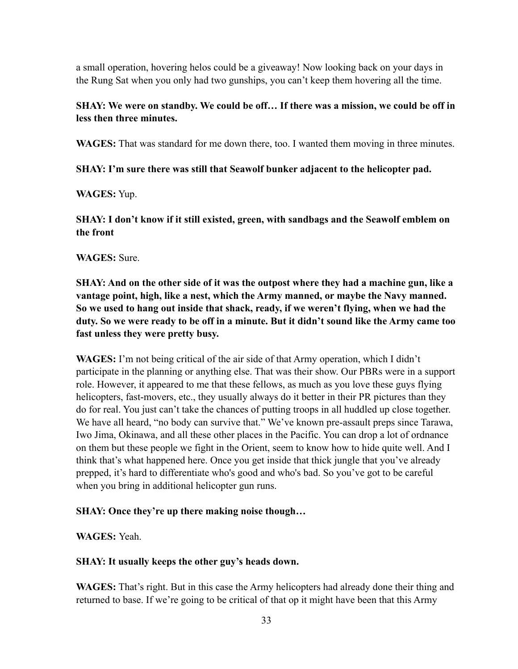a small operation, hovering helos could be a giveaway! Now looking back on your days in the Rung Sat when you only had two gunships, you can't keep them hovering all the time.

# **SHAY: We were on standby. We could be off… If there was a mission, we could be off in less then three minutes.**

**WAGES:** That was standard for me down there, too. I wanted them moving in three minutes.

# **SHAY: I'm sure there was still that Seawolf bunker adjacent to the helicopter pad.**

# **WAGES:** Yup.

**SHAY: I don't know if it still existed, green, with sandbags and the Seawolf emblem on the front** 

# **WAGES:** Sure.

**SHAY: And on the other side of it was the outpost where they had a machine gun, like a vantage point, high, like a nest, which the Army manned, or maybe the Navy manned. So we used to hang out inside that shack, ready, if we weren't flying, when we had the duty. So we were ready to be off in a minute. But it didn't sound like the Army came too fast unless they were pretty busy.**

**WAGES:** I'm not being critical of the air side of that Army operation, which I didn't participate in the planning or anything else. That was their show. Our PBRs were in a support role. However, it appeared to me that these fellows, as much as you love these guys flying helicopters, fast-movers, etc., they usually always do it better in their PR pictures than they do for real. You just can't take the chances of putting troops in all huddled up close together. We have all heard, "no body can survive that." We've known pre-assault preps since Tarawa, Iwo Jima, Okinawa, and all these other places in the Pacific. You can drop a lot of ordnance on them but these people we fight in the Orient, seem to know how to hide quite well. And I think that's what happened here. Once you get inside that thick jungle that you've already prepped, it's hard to differentiate who's good and who's bad. So you've got to be careful when you bring in additional helicopter gun runs.

# **SHAY: Once they're up there making noise though…**

**WAGES:** Yeah.

# **SHAY: It usually keeps the other guy's heads down.**

**WAGES:** That's right. But in this case the Army helicopters had already done their thing and returned to base. If we're going to be critical of that op it might have been that this Army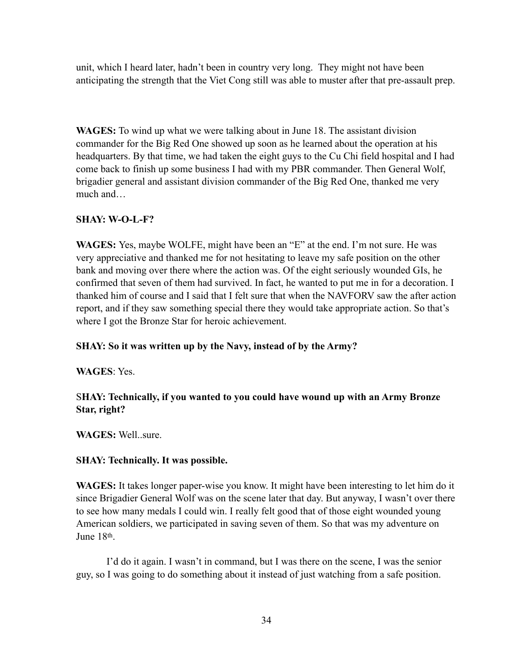unit, which I heard later, hadn't been in country very long. They might not have been anticipating the strength that the Viet Cong still was able to muster after that pre-assault prep.

**WAGES:** To wind up what we were talking about in June 18. The assistant division commander for the Big Red One showed up soon as he learned about the operation at his headquarters. By that time, we had taken the eight guys to the Cu Chi field hospital and I had come back to finish up some business I had with my PBR commander. Then General Wolf, brigadier general and assistant division commander of the Big Red One, thanked me very much and…

# **SHAY: W-O-L-F?**

**WAGES:** Yes, maybe WOLFE, might have been an "E" at the end. I'm not sure. He was very appreciative and thanked me for not hesitating to leave my safe position on the other bank and moving over there where the action was. Of the eight seriously wounded GIs, he confirmed that seven of them had survived. In fact, he wanted to put me in for a decoration. I thanked him of course and I said that I felt sure that when the NAVFORV saw the after action report, and if they saw something special there they would take appropriate action. So that's where I got the Bronze Star for heroic achievement.

# **SHAY: So it was written up by the Navy, instead of by the Army?**

#### **WAGES**: Yes.

# S**HAY: Technically, if you wanted to you could have wound up with an Army Bronze Star, right?**

**WAGES:** Well..sure.

#### **SHAY: Technically. It was possible.**

**WAGES:** It takes longer paper-wise you know. It might have been interesting to let him do it since Brigadier General Wolf was on the scene later that day. But anyway, I wasn't over there to see how many medals I could win. I really felt good that of those eight wounded young American soldiers, we participated in saving seven of them. So that was my adventure on June 18th.

I'd do it again. I wasn't in command, but I was there on the scene, I was the senior guy, so I was going to do something about it instead of just watching from a safe position.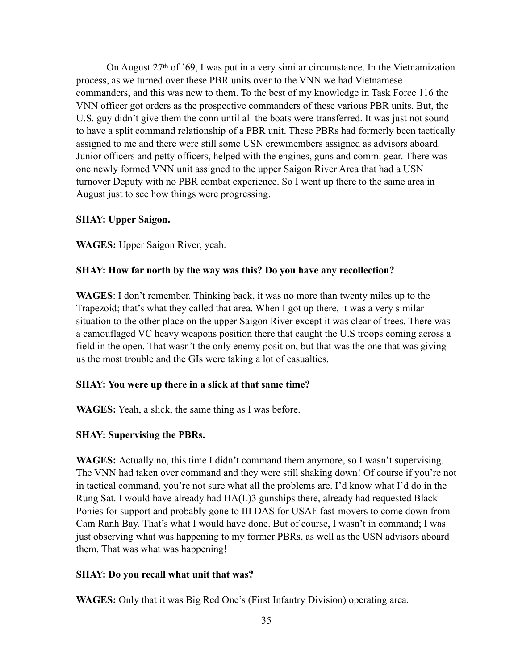On August 27th of '69, I was put in a very similar circumstance. In the Vietnamization process, as we turned over these PBR units over to the VNN we had Vietnamese commanders, and this was new to them. To the best of my knowledge in Task Force 116 the VNN officer got orders as the prospective commanders of these various PBR units. But, the U.S. guy didn't give them the conn until all the boats were transferred. It was just not sound to have a split command relationship of a PBR unit. These PBRs had formerly been tactically assigned to me and there were still some USN crewmembers assigned as advisors aboard. Junior officers and petty officers, helped with the engines, guns and comm. gear. There was one newly formed VNN unit assigned to the upper Saigon River Area that had a USN turnover Deputy with no PBR combat experience. So I went up there to the same area in August just to see how things were progressing.

# **SHAY: Upper Saigon.**

**WAGES:** Upper Saigon River, yeah.

# **SHAY: How far north by the way was this? Do you have any recollection?**

**WAGES**: I don't remember. Thinking back, it was no more than twenty miles up to the Trapezoid; that's what they called that area. When I got up there, it was a very similar situation to the other place on the upper Saigon River except it was clear of trees. There was a camouflaged VC heavy weapons position there that caught the U.S troops coming across a field in the open. That wasn't the only enemy position, but that was the one that was giving us the most trouble and the GIs were taking a lot of casualties.

# **SHAY: You were up there in a slick at that same time?**

**WAGES:** Yeah, a slick, the same thing as I was before.

# **SHAY: Supervising the PBRs.**

**WAGES:** Actually no, this time I didn't command them anymore, so I wasn't supervising. The VNN had taken over command and they were still shaking down! Of course if you're not in tactical command, you're not sure what all the problems are. I'd know what I'd do in the Rung Sat. I would have already had HA(L)3 gunships there, already had requested Black Ponies for support and probably gone to III DAS for USAF fast-movers to come down from Cam Ranh Bay. That's what I would have done. But of course, I wasn't in command; I was just observing what was happening to my former PBRs, as well as the USN advisors aboard them. That was what was happening!

# **SHAY: Do you recall what unit that was?**

**WAGES:** Only that it was Big Red One's (First Infantry Division) operating area.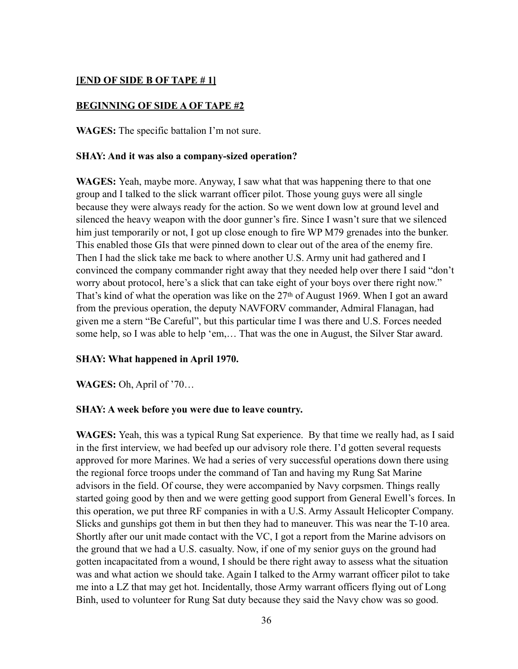### **[END OF SIDE B OF TAPE # 1]**

#### **BEGINNING OF SIDE A OF TAPE #2**

**WAGES:** The specific battalion I'm not sure.

#### **SHAY: And it was also a company-sized operation?**

**WAGES:** Yeah, maybe more. Anyway, I saw what that was happening there to that one group and I talked to the slick warrant officer pilot. Those young guys were all single because they were always ready for the action. So we went down low at ground level and silenced the heavy weapon with the door gunner's fire. Since I wasn't sure that we silenced him just temporarily or not, I got up close enough to fire WP M79 grenades into the bunker. This enabled those GIs that were pinned down to clear out of the area of the enemy fire. Then I had the slick take me back to where another U.S. Army unit had gathered and I convinced the company commander right away that they needed help over there I said "don't worry about protocol, here's a slick that can take eight of your boys over there right now." That's kind of what the operation was like on the 27<sup>th</sup> of August 1969. When I got an award from the previous operation, the deputy NAVFORV commander, Admiral Flanagan, had given me a stern "Be Careful", but this particular time I was there and U.S. Forces needed some help, so I was able to help 'em,… That was the one in August, the Silver Star award.

#### **SHAY: What happened in April 1970.**

**WAGES:** Oh, April of '70…

#### **SHAY: A week before you were due to leave country.**

**WAGES:** Yeah, this was a typical Rung Sat experience. By that time we really had, as I said in the first interview, we had beefed up our advisory role there. I'd gotten several requests approved for more Marines. We had a series of very successful operations down there using the regional force troops under the command of Tan and having my Rung Sat Marine advisors in the field. Of course, they were accompanied by Navy corpsmen. Things really started going good by then and we were getting good support from General Ewell's forces. In this operation, we put three RF companies in with a U.S. Army Assault Helicopter Company. Slicks and gunships got them in but then they had to maneuver. This was near the T-10 area. Shortly after our unit made contact with the VC, I got a report from the Marine advisors on the ground that we had a U.S. casualty. Now, if one of my senior guys on the ground had gotten incapacitated from a wound, I should be there right away to assess what the situation was and what action we should take. Again I talked to the Army warrant officer pilot to take me into a LZ that may get hot. Incidentally, those Army warrant officers flying out of Long Binh, used to volunteer for Rung Sat duty because they said the Navy chow was so good.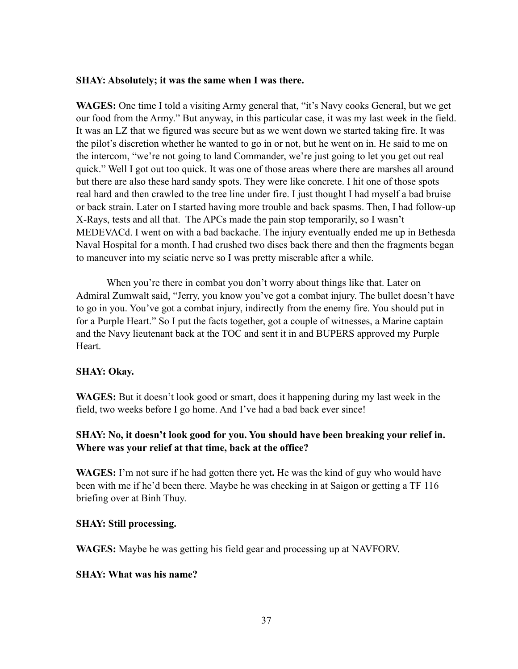#### **SHAY: Absolutely; it was the same when I was there.**

**WAGES:** One time I told a visiting Army general that, "it's Navy cooks General, but we get our food from the Army." But anyway, in this particular case, it was my last week in the field. It was an LZ that we figured was secure but as we went down we started taking fire. It was the pilot's discretion whether he wanted to go in or not, but he went on in. He said to me on the intercom, "we're not going to land Commander, we're just going to let you get out real quick." Well I got out too quick. It was one of those areas where there are marshes all around but there are also these hard sandy spots. They were like concrete. I hit one of those spots real hard and then crawled to the tree line under fire. I just thought I had myself a bad bruise or back strain. Later on I started having more trouble and back spasms. Then, I had follow-up X-Rays, tests and all that. The APCs made the pain stop temporarily, so I wasn't MEDEVACd. I went on with a bad backache. The injury eventually ended me up in Bethesda Naval Hospital for a month. I had crushed two discs back there and then the fragments began to maneuver into my sciatic nerve so I was pretty miserable after a while.

When you're there in combat you don't worry about things like that. Later on Admiral Zumwalt said, "Jerry, you know you've got a combat injury. The bullet doesn't have to go in you. You've got a combat injury, indirectly from the enemy fire. You should put in for a Purple Heart." So I put the facts together, got a couple of witnesses, a Marine captain and the Navy lieutenant back at the TOC and sent it in and BUPERS approved my Purple **Heart**.

# **SHAY: Okay.**

**WAGES:** But it doesn't look good or smart, does it happening during my last week in the field, two weeks before I go home. And I've had a bad back ever since!

# **SHAY: No, it doesn't look good for you. You should have been breaking your relief in. Where was your relief at that time, back at the office?**

**WAGES:** I'm not sure if he had gotten there yet**.** He was the kind of guy who would have been with me if he'd been there. Maybe he was checking in at Saigon or getting a TF 116 briefing over at Binh Thuy.

# **SHAY: Still processing.**

**WAGES:** Maybe he was getting his field gear and processing up at NAVFORV.

#### **SHAY: What was his name?**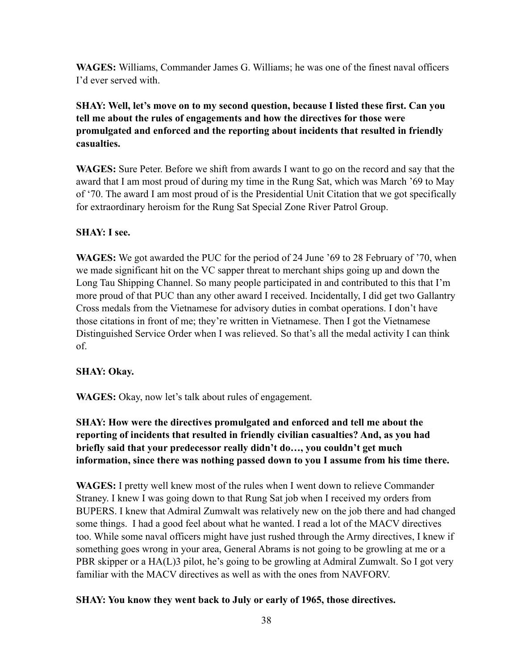**WAGES:** Williams, Commander James G. Williams; he was one of the finest naval officers I'd ever served with.

**SHAY: Well, let's move on to my second question, because I listed these first. Can you tell me about the rules of engagements and how the directives for those were promulgated and enforced and the reporting about incidents that resulted in friendly casualties.** 

**WAGES:** Sure Peter. Before we shift from awards I want to go on the record and say that the award that I am most proud of during my time in the Rung Sat, which was March '69 to May of '70. The award I am most proud of is the Presidential Unit Citation that we got specifically for extraordinary heroism for the Rung Sat Special Zone River Patrol Group.

# **SHAY: I see.**

**WAGES:** We got awarded the PUC for the period of 24 June '69 to 28 February of '70, when we made significant hit on the VC sapper threat to merchant ships going up and down the Long Tau Shipping Channel. So many people participated in and contributed to this that I'm more proud of that PUC than any other award I received. Incidentally, I did get two Gallantry Cross medals from the Vietnamese for advisory duties in combat operations. I don't have those citations in front of me; they're written in Vietnamese. Then I got the Vietnamese Distinguished Service Order when I was relieved. So that's all the medal activity I can think of.

# **SHAY: Okay.**

**WAGES:** Okay, now let's talk about rules of engagement.

**SHAY: How were the directives promulgated and enforced and tell me about the reporting of incidents that resulted in friendly civilian casualties? And, as you had briefly said that your predecessor really didn't do…, you couldn't get much information, since there was nothing passed down to you I assume from his time there.**

**WAGES:** I pretty well knew most of the rules when I went down to relieve Commander Straney. I knew I was going down to that Rung Sat job when I received my orders from BUPERS. I knew that Admiral Zumwalt was relatively new on the job there and had changed some things. I had a good feel about what he wanted. I read a lot of the MACV directives too. While some naval officers might have just rushed through the Army directives, I knew if something goes wrong in your area, General Abrams is not going to be growling at me or a PBR skipper or a HA(L)3 pilot, he's going to be growling at Admiral Zumwalt. So I got very familiar with the MACV directives as well as with the ones from NAVFORV.

# **SHAY: You know they went back to July or early of 1965, those directives.**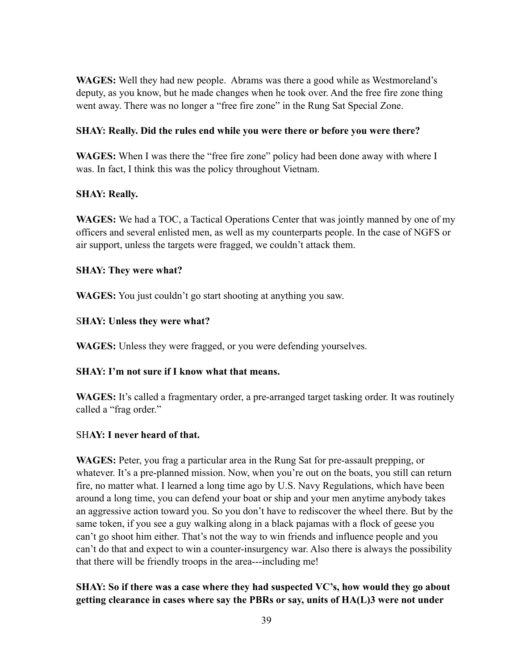**WAGES:** Well they had new people. Abrams was there a good while as Westmoreland's deputy, as you know, but he made changes when he took over. And the free fire zone thing went away. There was no longer a "free fire zone" in the Rung Sat Special Zone.

# **SHAY: Really. Did the rules end while you were there or before you were there?**

**WAGES:** When I was there the "free fire zone" policy had been done away with where I was. In fact, I think this was the policy throughout Vietnam.

# **SHAY: Really.**

**WAGES:** We had a TOC, a Tactical Operations Center that was jointly manned by one of my officers and several enlisted men, as well as my counterparts people. In the case of NGFS or air support, unless the targets were fragged, we couldn't attack them.

### **SHAY: They were what?**

**WAGES:** You just couldn't go start shooting at anything you saw.

# S**HAY: Unless they were what?**

**WAGES:** Unless they were fragged, or you were defending yourselves.

# **SHAY: I'm not sure if I know what that means.**

**WAGES:** It's called a fragmentary order, a pre-arranged target tasking order. It was routinely called a "frag order."

#### SH**AY: I never heard of that.**

**WAGES:** Peter, you frag a particular area in the Rung Sat for pre-assault prepping, or whatever. It's a pre-planned mission. Now, when you're out on the boats, you still can return fire, no matter what. I learned a long time ago by U.S. Navy Regulations, which have been around a long time, you can defend your boat or ship and your men anytime anybody takes an aggressive action toward you. So you don't have to rediscover the wheel there. But by the same token, if you see a guy walking along in a black pajamas with a flock of geese you can't go shoot him either. That's not the way to win friends and influence people and you can't do that and expect to win a counter-insurgency war. Also there is always the possibility that there will be friendly troops in the area---including me!

# **SHAY: So if there was a case where they had suspected VC's, how would they go about getting clearance in cases where say the PBRs or say, units of HA(L)3 were not under**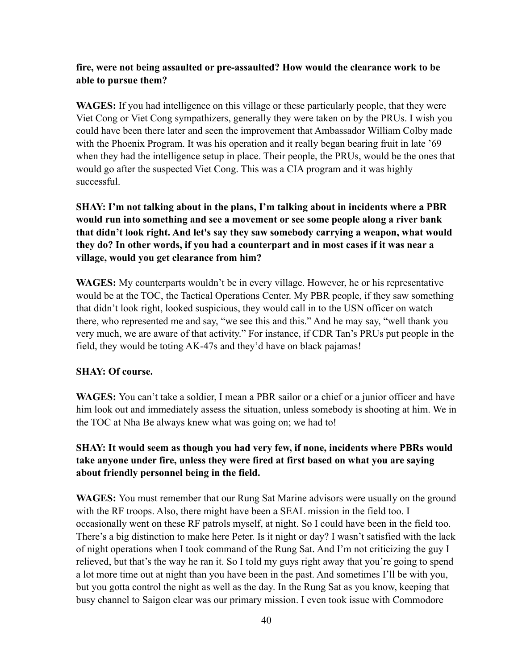# **fire, were not being assaulted or pre-assaulted? How would the clearance work to be able to pursue them?**

**WAGES:** If you had intelligence on this village or these particularly people, that they were Viet Cong or Viet Cong sympathizers, generally they were taken on by the PRUs. I wish you could have been there later and seen the improvement that Ambassador William Colby made with the Phoenix Program. It was his operation and it really began bearing fruit in late '69 when they had the intelligence setup in place. Their people, the PRUs, would be the ones that would go after the suspected Viet Cong. This was a CIA program and it was highly successful.

**SHAY: I'm not talking about in the plans, I'm talking about in incidents where a PBR would run into something and see a movement or see some people along a river bank that didn't look right. And let's say they saw somebody carrying a weapon, what would they do? In other words, if you had a counterpart and in most cases if it was near a village, would you get clearance from him?**

**WAGES:** My counterparts wouldn't be in every village. However, he or his representative would be at the TOC, the Tactical Operations Center. My PBR people, if they saw something that didn't look right, looked suspicious, they would call in to the USN officer on watch there, who represented me and say, "we see this and this." And he may say, "well thank you very much, we are aware of that activity." For instance, if CDR Tan's PRUs put people in the field, they would be toting AK-47s and they'd have on black pajamas!

### **SHAY: Of course.**

**WAGES:** You can't take a soldier, I mean a PBR sailor or a chief or a junior officer and have him look out and immediately assess the situation, unless somebody is shooting at him. We in the TOC at Nha Be always knew what was going on; we had to!

# **SHAY: It would seem as though you had very few, if none, incidents where PBRs would take anyone under fire, unless they were fired at first based on what you are saying about friendly personnel being in the field.**

**WAGES:** You must remember that our Rung Sat Marine advisors were usually on the ground with the RF troops. Also, there might have been a SEAL mission in the field too. I occasionally went on these RF patrols myself, at night. So I could have been in the field too. There's a big distinction to make here Peter. Is it night or day? I wasn't satisfied with the lack of night operations when I took command of the Rung Sat. And I'm not criticizing the guy I relieved, but that's the way he ran it. So I told my guys right away that you're going to spend a lot more time out at night than you have been in the past. And sometimes I'll be with you, but you gotta control the night as well as the day. In the Rung Sat as you know, keeping that busy channel to Saigon clear was our primary mission. I even took issue with Commodore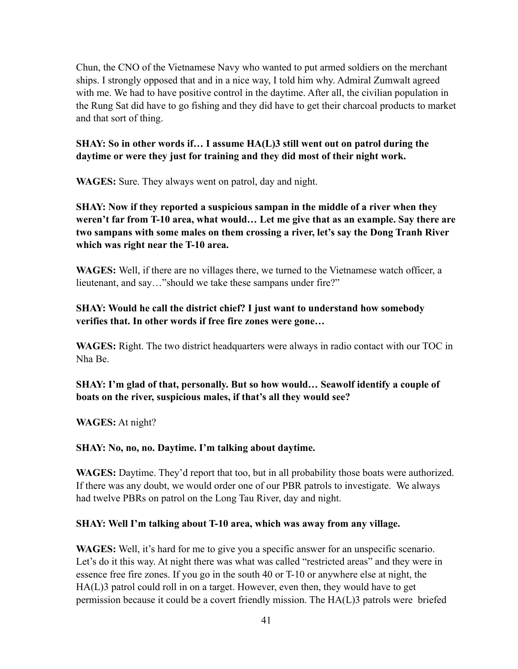Chun, the CNO of the Vietnamese Navy who wanted to put armed soldiers on the merchant ships. I strongly opposed that and in a nice way, I told him why. Admiral Zumwalt agreed with me. We had to have positive control in the daytime. After all, the civilian population in the Rung Sat did have to go fishing and they did have to get their charcoal products to market and that sort of thing.

# **SHAY: So in other words if… I assume HA(L)3 still went out on patrol during the daytime or were they just for training and they did most of their night work.**

**WAGES:** Sure. They always went on patrol, day and night.

**SHAY: Now if they reported a suspicious sampan in the middle of a river when they weren't far from T-10 area, what would… Let me give that as an example. Say there are two sampans with some males on them crossing a river, let's say the Dong Tranh River which was right near the T-10 area.**

**WAGES:** Well, if there are no villages there, we turned to the Vietnamese watch officer, a lieutenant, and say…"should we take these sampans under fire?"

# **SHAY: Would he call the district chief? I just want to understand how somebody verifies that. In other words if free fire zones were gone…**

**WAGES:** Right. The two district headquarters were always in radio contact with our TOC in Nha Be.

**SHAY: I'm glad of that, personally. But so how would… Seawolf identify a couple of boats on the river, suspicious males, if that's all they would see?** 

**WAGES:** At night?

# **SHAY: No, no, no. Daytime. I'm talking about daytime.**

**WAGES:** Daytime. They'd report that too, but in all probability those boats were authorized. If there was any doubt, we would order one of our PBR patrols to investigate. We always had twelve PBRs on patrol on the Long Tau River, day and night.

# **SHAY: Well I'm talking about T-10 area, which was away from any village.**

**WAGES:** Well, it's hard for me to give you a specific answer for an unspecific scenario. Let's do it this way. At night there was what was called "restricted areas" and they were in essence free fire zones. If you go in the south 40 or T-10 or anywhere else at night, the HA(L)3 patrol could roll in on a target. However, even then, they would have to get permission because it could be a covert friendly mission. The HA(L)3 patrols were briefed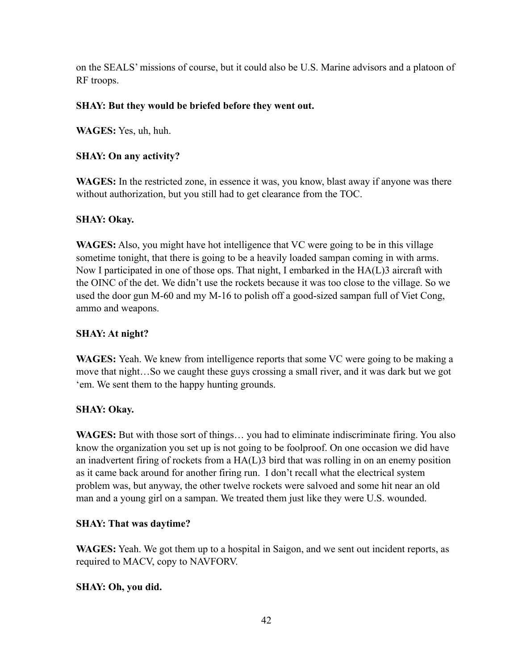on the SEALS' missions of course, but it could also be U.S. Marine advisors and a platoon of RF troops.

# **SHAY: But they would be briefed before they went out.**

**WAGES:** Yes, uh, huh.

# **SHAY: On any activity?**

**WAGES:** In the restricted zone, in essence it was, you know, blast away if anyone was there without authorization, but you still had to get clearance from the TOC.

# **SHAY: Okay.**

**WAGES:** Also, you might have hot intelligence that VC were going to be in this village sometime tonight, that there is going to be a heavily loaded sampan coming in with arms. Now I participated in one of those ops. That night, I embarked in the HA(L)3 aircraft with the OINC of the det. We didn't use the rockets because it was too close to the village. So we used the door gun M-60 and my M-16 to polish off a good-sized sampan full of Viet Cong, ammo and weapons.

# **SHAY: At night?**

**WAGES:** Yeah. We knew from intelligence reports that some VC were going to be making a move that night…So we caught these guys crossing a small river, and it was dark but we got 'em. We sent them to the happy hunting grounds.

# **SHAY: Okay.**

**WAGES:** But with those sort of things… you had to eliminate indiscriminate firing. You also know the organization you set up is not going to be foolproof. On one occasion we did have an inadvertent firing of rockets from a HA(L)3 bird that was rolling in on an enemy position as it came back around for another firing run. I don't recall what the electrical system problem was, but anyway, the other twelve rockets were salvoed and some hit near an old man and a young girl on a sampan. We treated them just like they were U.S. wounded.

# **SHAY: That was daytime?**

**WAGES:** Yeah. We got them up to a hospital in Saigon, and we sent out incident reports, as required to MACV, copy to NAVFORV.

# **SHAY: Oh, you did.**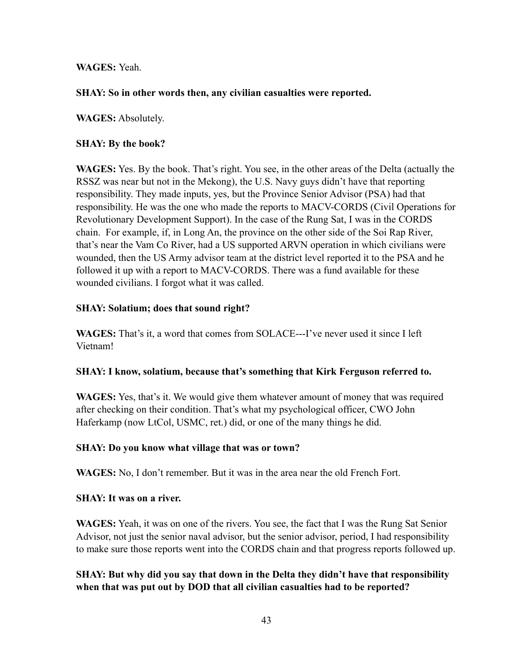**WAGES:** Yeah.

### **SHAY: So in other words then, any civilian casualties were reported.**

**WAGES:** Absolutely.

### **SHAY: By the book?**

**WAGES:** Yes. By the book. That's right. You see, in the other areas of the Delta (actually the RSSZ was near but not in the Mekong), the U.S. Navy guys didn't have that reporting responsibility. They made inputs, yes, but the Province Senior Advisor (PSA) had that responsibility. He was the one who made the reports to MACV-CORDS (Civil Operations for Revolutionary Development Support). In the case of the Rung Sat, I was in the CORDS chain. For example, if, in Long An, the province on the other side of the Soi Rap River, that's near the Vam Co River, had a US supported ARVN operation in which civilians were wounded, then the US Army advisor team at the district level reported it to the PSA and he followed it up with a report to MACV-CORDS. There was a fund available for these wounded civilians. I forgot what it was called.

### **SHAY: Solatium; does that sound right?**

**WAGES:** That's it, a word that comes from SOLACE---I've never used it since I left Vietnam!

#### **SHAY: I know, solatium, because that's something that Kirk Ferguson referred to.**

**WAGES:** Yes, that's it. We would give them whatever amount of money that was required after checking on their condition. That's what my psychological officer, CWO John Haferkamp (now LtCol, USMC, ret.) did, or one of the many things he did.

# **SHAY: Do you know what village that was or town?**

**WAGES:** No, I don't remember. But it was in the area near the old French Fort.

#### **SHAY: It was on a river.**

**WAGES:** Yeah, it was on one of the rivers. You see, the fact that I was the Rung Sat Senior Advisor, not just the senior naval advisor, but the senior advisor, period, I had responsibility to make sure those reports went into the CORDS chain and that progress reports followed up.

**SHAY: But why did you say that down in the Delta they didn't have that responsibility when that was put out by DOD that all civilian casualties had to be reported?**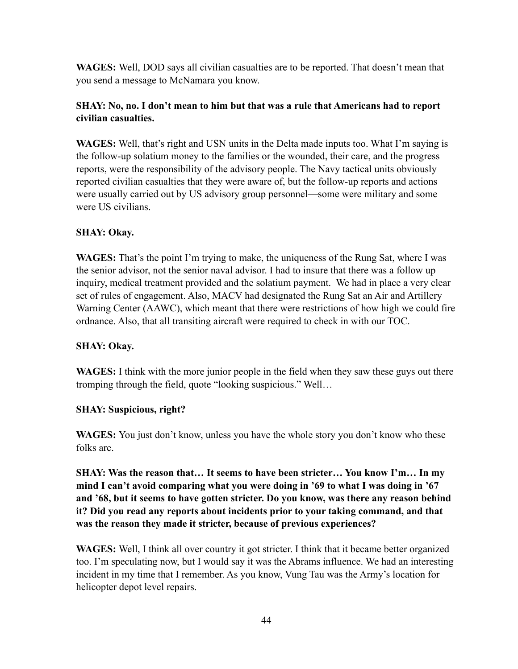**WAGES:** Well, DOD says all civilian casualties are to be reported. That doesn't mean that you send a message to McNamara you know.

# **SHAY: No, no. I don't mean to him but that was a rule that Americans had to report civilian casualties.**

**WAGES:** Well, that's right and USN units in the Delta made inputs too. What I'm saying is the follow-up solatium money to the families or the wounded, their care, and the progress reports, were the responsibility of the advisory people. The Navy tactical units obviously reported civilian casualties that they were aware of, but the follow-up reports and actions were usually carried out by US advisory group personnel—some were military and some were US civilians.

# **SHAY: Okay.**

**WAGES:** That's the point I'm trying to make, the uniqueness of the Rung Sat, where I was the senior advisor, not the senior naval advisor. I had to insure that there was a follow up inquiry, medical treatment provided and the solatium payment. We had in place a very clear set of rules of engagement. Also, MACV had designated the Rung Sat an Air and Artillery Warning Center (AAWC), which meant that there were restrictions of how high we could fire ordnance. Also, that all transiting aircraft were required to check in with our TOC.

# **SHAY: Okay.**

**WAGES:** I think with the more junior people in the field when they saw these guys out there tromping through the field, quote "looking suspicious." Well…

# **SHAY: Suspicious, right?**

WAGES: You just don't know, unless you have the whole story you don't know who these folks are.

**SHAY: Was the reason that… It seems to have been stricter… You know I'm… In my mind I can't avoid comparing what you were doing in '69 to what I was doing in '67 and '68, but it seems to have gotten stricter. Do you know, was there any reason behind it? Did you read any reports about incidents prior to your taking command, and that was the reason they made it stricter, because of previous experiences?**

**WAGES:** Well, I think all over country it got stricter. I think that it became better organized too. I'm speculating now, but I would say it was the Abrams influence. We had an interesting incident in my time that I remember. As you know, Vung Tau was the Army's location for helicopter depot level repairs.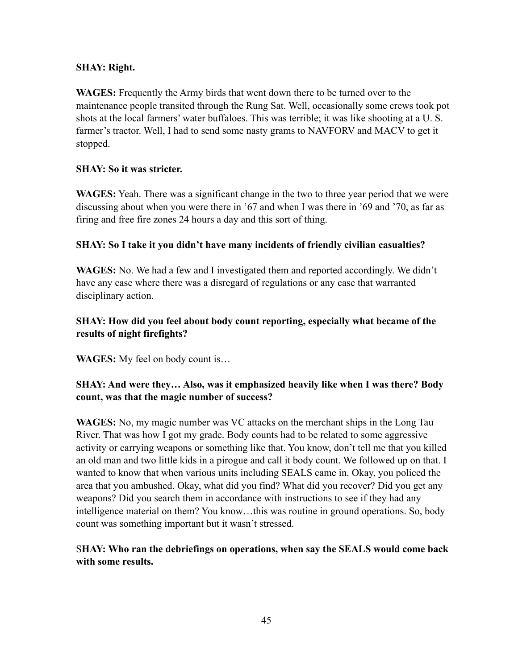# **SHAY: Right.**

**WAGES:** Frequently the Army birds that went down there to be turned over to the maintenance people transited through the Rung Sat. Well, occasionally some crews took pot shots at the local farmers' water buffaloes. This was terrible; it was like shooting at a U. S. farmer's tractor. Well, I had to send some nasty grams to NAVFORV and MACV to get it stopped.

# **SHAY: So it was stricter.**

**WAGES:** Yeah. There was a significant change in the two to three year period that we were discussing about when you were there in '67 and when I was there in '69 and '70, as far as firing and free fire zones 24 hours a day and this sort of thing.

# **SHAY: So I take it you didn't have many incidents of friendly civilian casualties?**

**WAGES:** No. We had a few and I investigated them and reported accordingly. We didn't have any case where there was a disregard of regulations or any case that warranted disciplinary action.

# **SHAY: How did you feel about body count reporting, especially what became of the results of night firefights?**

**WAGES:** My feel on body count is…

# **SHAY: And were they… Also, was it emphasized heavily like when I was there? Body count, was that the magic number of success?**

**WAGES:** No, my magic number was VC attacks on the merchant ships in the Long Tau River. That was how I got my grade. Body counts had to be related to some aggressive activity or carrying weapons or something like that. You know, don't tell me that you killed an old man and two little kids in a pirogue and call it body count. We followed up on that. I wanted to know that when various units including SEALS came in. Okay, you policed the area that you ambushed. Okay, what did you find? What did you recover? Did you get any weapons? Did you search them in accordance with instructions to see if they had any intelligence material on them? You know…this was routine in ground operations. So, body count was something important but it wasn't stressed.

# S**HAY: Who ran the debriefings on operations, when say the SEALS would come back with some results.**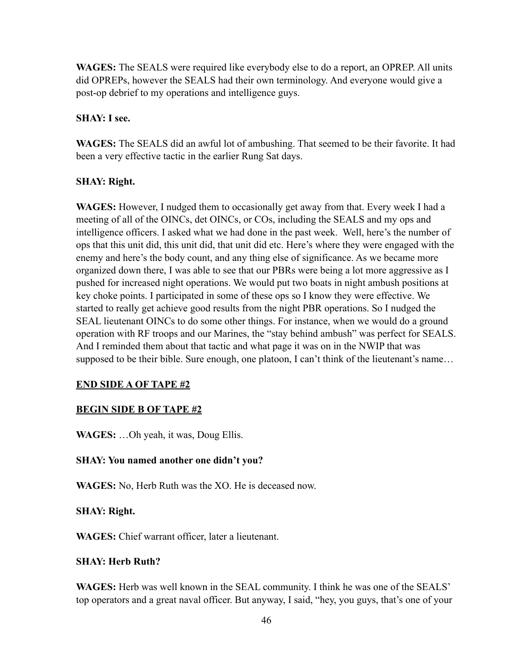**WAGES:** The SEALS were required like everybody else to do a report, an OPREP. All units did OPREPs, however the SEALS had their own terminology. And everyone would give a post-op debrief to my operations and intelligence guys.

# **SHAY: I see.**

**WAGES:** The SEALS did an awful lot of ambushing. That seemed to be their favorite. It had been a very effective tactic in the earlier Rung Sat days.

# **SHAY: Right.**

**WAGES:** However, I nudged them to occasionally get away from that. Every week I had a meeting of all of the OINCs, det OINCs, or COs, including the SEALS and my ops and intelligence officers. I asked what we had done in the past week. Well, here's the number of ops that this unit did, this unit did, that unit did etc. Here's where they were engaged with the enemy and here's the body count, and any thing else of significance. As we became more organized down there, I was able to see that our PBRs were being a lot more aggressive as I pushed for increased night operations. We would put two boats in night ambush positions at key choke points. I participated in some of these ops so I know they were effective. We started to really get achieve good results from the night PBR operations. So I nudged the SEAL lieutenant OINCs to do some other things. For instance, when we would do a ground operation with RF troops and our Marines, the "stay behind ambush" was perfect for SEALS. And I reminded them about that tactic and what page it was on in the NWIP that was supposed to be their bible. Sure enough, one platoon, I can't think of the lieutenant's name...

# **END SIDE A OF TAPE #2**

# **BEGIN SIDE B OF TAPE #2**

**WAGES:** …Oh yeah, it was, Doug Ellis.

#### **SHAY: You named another one didn't you?**

**WAGES:** No, Herb Ruth was the XO. He is deceased now.

#### **SHAY: Right.**

**WAGES:** Chief warrant officer, later a lieutenant.

#### **SHAY: Herb Ruth?**

**WAGES:** Herb was well known in the SEAL community. I think he was one of the SEALS' top operators and a great naval officer. But anyway, I said, "hey, you guys, that's one of your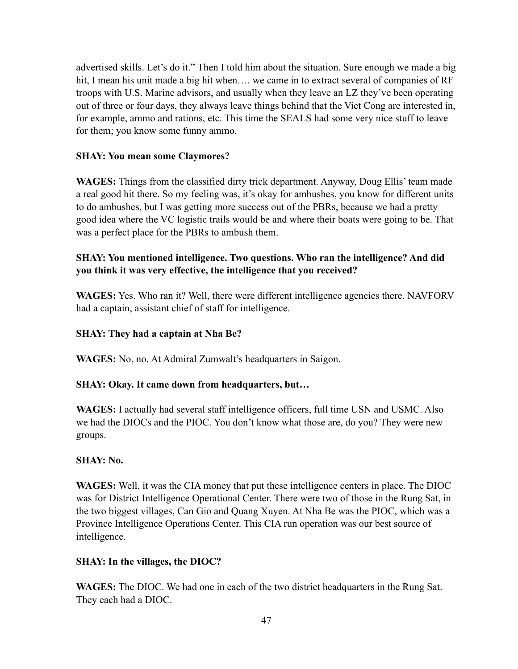advertised skills. Let's do it." Then I told him about the situation. Sure enough we made a big hit, I mean his unit made a big hit when.... we came in to extract several of companies of RF troops with U.S. Marine advisors, and usually when they leave an LZ they've been operating out of three or four days, they always leave things behind that the Viet Cong are interested in, for example, ammo and rations, etc. This time the SEALS had some very nice stuff to leave for them; you know some funny ammo.

# **SHAY: You mean some Claymores?**

**WAGES:** Things from the classified dirty trick department. Anyway, Doug Ellis' team made a real good hit there. So my feeling was, it's okay for ambushes, you know for different units to do ambushes, but I was getting more success out of the PBRs, because we had a pretty good idea where the VC logistic trails would be and where their boats were going to be. That was a perfect place for the PBRs to ambush them.

# **SHAY: You mentioned intelligence. Two questions. Who ran the intelligence? And did you think it was very effective, the intelligence that you received?**

**WAGES:** Yes. Who ran it? Well, there were different intelligence agencies there. NAVFORV had a captain, assistant chief of staff for intelligence.

# **SHAY: They had a captain at Nha Be?**

**WAGES:** No, no. At Admiral Zumwalt's headquarters in Saigon.

# **SHAY: Okay. It came down from headquarters, but…**

**WAGES:** I actually had several staff intelligence officers, full time USN and USMC. Also we had the DIOCs and the PIOC. You don't know what those are, do you? They were new groups.

# **SHAY: No.**

**WAGES:** Well, it was the CIA money that put these intelligence centers in place. The DIOC was for District Intelligence Operational Center. There were two of those in the Rung Sat, in the two biggest villages, Can Gio and Quang Xuyen. At Nha Be was the PIOC, which was a Province Intelligence Operations Center. This CIA run operation was our best source of intelligence.

# **SHAY: In the villages, the DIOC?**

**WAGES:** The DIOC. We had one in each of the two district headquarters in the Rung Sat. They each had a DIOC.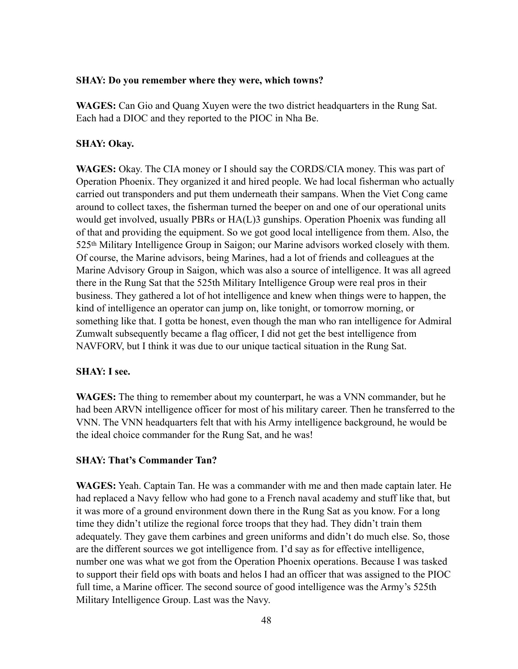#### **SHAY: Do you remember where they were, which towns?**

**WAGES:** Can Gio and Quang Xuyen were the two district headquarters in the Rung Sat. Each had a DIOC and they reported to the PIOC in Nha Be.

#### **SHAY: Okay.**

**WAGES:** Okay. The CIA money or I should say the CORDS/CIA money. This was part of Operation Phoenix. They organized it and hired people. We had local fisherman who actually carried out transponders and put them underneath their sampans. When the Viet Cong came around to collect taxes, the fisherman turned the beeper on and one of our operational units would get involved, usually PBRs or HA(L)3 gunships. Operation Phoenix was funding all of that and providing the equipment. So we got good local intelligence from them. Also, the 525th Military Intelligence Group in Saigon; our Marine advisors worked closely with them. Of course, the Marine advisors, being Marines, had a lot of friends and colleagues at the Marine Advisory Group in Saigon, which was also a source of intelligence. It was all agreed there in the Rung Sat that the 525th Military Intelligence Group were real pros in their business. They gathered a lot of hot intelligence and knew when things were to happen, the kind of intelligence an operator can jump on, like tonight, or tomorrow morning, or something like that. I gotta be honest, even though the man who ran intelligence for Admiral Zumwalt subsequently became a flag officer, I did not get the best intelligence from NAVFORV, but I think it was due to our unique tactical situation in the Rung Sat.

# **SHAY: I see.**

**WAGES:** The thing to remember about my counterpart, he was a VNN commander, but he had been ARVN intelligence officer for most of his military career. Then he transferred to the VNN. The VNN headquarters felt that with his Army intelligence background, he would be the ideal choice commander for the Rung Sat, and he was!

# **SHAY: That's Commander Tan?**

**WAGES:** Yeah. Captain Tan. He was a commander with me and then made captain later. He had replaced a Navy fellow who had gone to a French naval academy and stuff like that, but it was more of a ground environment down there in the Rung Sat as you know. For a long time they didn't utilize the regional force troops that they had. They didn't train them adequately. They gave them carbines and green uniforms and didn't do much else. So, those are the different sources we got intelligence from. I'd say as for effective intelligence, number one was what we got from the Operation Phoenix operations. Because I was tasked to support their field ops with boats and helos I had an officer that was assigned to the PIOC full time, a Marine officer. The second source of good intelligence was the Army's 525th Military Intelligence Group. Last was the Navy.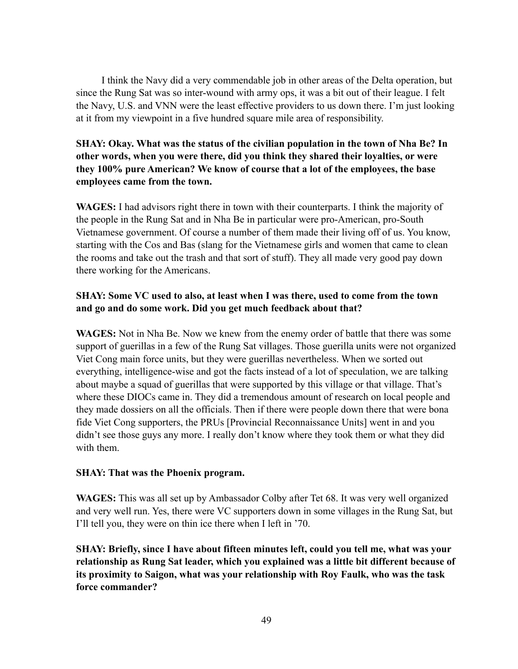I think the Navy did a very commendable job in other areas of the Delta operation, but since the Rung Sat was so inter-wound with army ops, it was a bit out of their league. I felt the Navy, U.S. and VNN were the least effective providers to us down there. I'm just looking at it from my viewpoint in a five hundred square mile area of responsibility.

# **SHAY: Okay. What was the status of the civilian population in the town of Nha Be? In other words, when you were there, did you think they shared their loyalties, or were they 100% pure American? We know of course that a lot of the employees, the base employees came from the town.**

**WAGES:** I had advisors right there in town with their counterparts. I think the majority of the people in the Rung Sat and in Nha Be in particular were pro-American, pro-South Vietnamese government. Of course a number of them made their living off of us. You know, starting with the Cos and Bas (slang for the Vietnamese girls and women that came to clean the rooms and take out the trash and that sort of stuff). They all made very good pay down there working for the Americans.

# **SHAY: Some VC used to also, at least when I was there, used to come from the town and go and do some work. Did you get much feedback about that?**

**WAGES:** Not in Nha Be. Now we knew from the enemy order of battle that there was some support of guerillas in a few of the Rung Sat villages. Those guerilla units were not organized Viet Cong main force units, but they were guerillas nevertheless. When we sorted out everything, intelligence-wise and got the facts instead of a lot of speculation, we are talking about maybe a squad of guerillas that were supported by this village or that village. That's where these DIOCs came in. They did a tremendous amount of research on local people and they made dossiers on all the officials. Then if there were people down there that were bona fide Viet Cong supporters, the PRUs [Provincial Reconnaissance Units] went in and you didn't see those guys any more. I really don't know where they took them or what they did with them.

# **SHAY: That was the Phoenix program.**

**WAGES:** This was all set up by Ambassador Colby after Tet 68. It was very well organized and very well run. Yes, there were VC supporters down in some villages in the Rung Sat, but I'll tell you, they were on thin ice there when I left in '70.

**SHAY: Briefly, since I have about fifteen minutes left, could you tell me, what was your relationship as Rung Sat leader, which you explained was a little bit different because of its proximity to Saigon, what was your relationship with Roy Faulk, who was the task force commander?**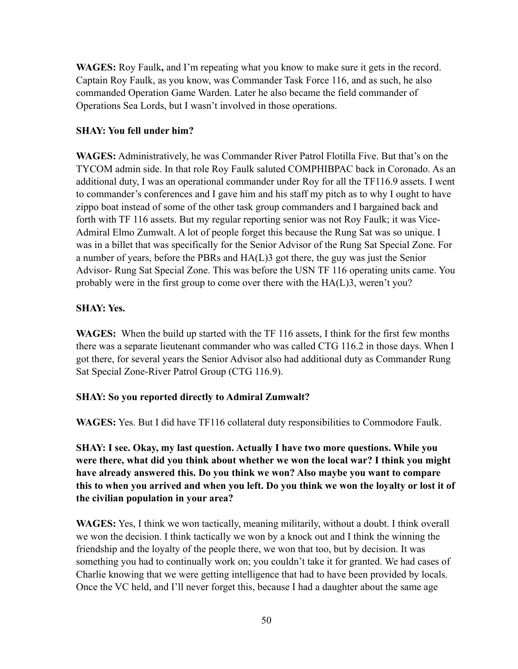**WAGES:** Roy Faulk**,** and I'm repeating what you know to make sure it gets in the record. Captain Roy Faulk, as you know, was Commander Task Force 116, and as such, he also commanded Operation Game Warden. Later he also became the field commander of Operations Sea Lords, but I wasn't involved in those operations.

# **SHAY: You fell under him?**

**WAGES:** Administratively, he was Commander River Patrol Flotilla Five. But that's on the TYCOM admin side. In that role Roy Faulk saluted COMPHIBPAC back in Coronado. As an additional duty, I was an operational commander under Roy for all the TF116.9 assets. I went to commander's conferences and I gave him and his staff my pitch as to why I ought to have zippo boat instead of some of the other task group commanders and I bargained back and forth with TF 116 assets. But my regular reporting senior was not Roy Faulk; it was Vice-Admiral Elmo Zumwalt. A lot of people forget this because the Rung Sat was so unique. I was in a billet that was specifically for the Senior Advisor of the Rung Sat Special Zone. For a number of years, before the PBRs and HA(L)3 got there, the guy was just the Senior Advisor- Rung Sat Special Zone. This was before the USN TF 116 operating units came. You probably were in the first group to come over there with the HA(L)3, weren't you?

# **SHAY: Yes.**

**WAGES:** When the build up started with the TF 116 assets, I think for the first few months there was a separate lieutenant commander who was called CTG 116.2 in those days. When I got there, for several years the Senior Advisor also had additional duty as Commander Rung Sat Special Zone-River Patrol Group (CTG 116.9).

# **SHAY: So you reported directly to Admiral Zumwalt?**

**WAGES:** Yes. But I did have TF116 collateral duty responsibilities to Commodore Faulk.

**SHAY: I see. Okay, my last question. Actually I have two more questions. While you were there, what did you think about whether we won the local war? I think you might have already answered this. Do you think we won? Also maybe you want to compare this to when you arrived and when you left. Do you think we won the loyalty or lost it of the civilian population in your area?**

**WAGES:** Yes, I think we won tactically, meaning militarily, without a doubt. I think overall we won the decision. I think tactically we won by a knock out and I think the winning the friendship and the loyalty of the people there, we won that too, but by decision. It was something you had to continually work on; you couldn't take it for granted. We had cases of Charlie knowing that we were getting intelligence that had to have been provided by locals. Once the VC held, and I'll never forget this, because I had a daughter about the same age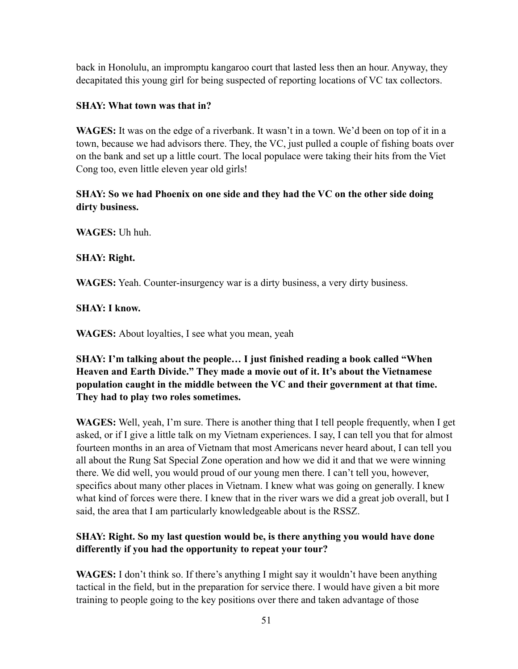back in Honolulu, an impromptu kangaroo court that lasted less then an hour. Anyway, they decapitated this young girl for being suspected of reporting locations of VC tax collectors.

# **SHAY: What town was that in?**

**WAGES:** It was on the edge of a riverbank. It wasn't in a town. We'd been on top of it in a town, because we had advisors there. They, the VC, just pulled a couple of fishing boats over on the bank and set up a little court. The local populace were taking their hits from the Viet Cong too, even little eleven year old girls!

# **SHAY: So we had Phoenix on one side and they had the VC on the other side doing dirty business.**

**WAGES:** Uh huh.

# **SHAY: Right.**

**WAGES:** Yeah. Counter-insurgency war is a dirty business, a very dirty business.

# **SHAY: I know.**

**WAGES:** About loyalties, I see what you mean, yeah

# **SHAY: I'm talking about the people… I just finished reading a book called "When Heaven and Earth Divide." They made a movie out of it. It's about the Vietnamese population caught in the middle between the VC and their government at that time. They had to play two roles sometimes.**

**WAGES:** Well, yeah, I'm sure. There is another thing that I tell people frequently, when I get asked, or if I give a little talk on my Vietnam experiences. I say, I can tell you that for almost fourteen months in an area of Vietnam that most Americans never heard about, I can tell you all about the Rung Sat Special Zone operation and how we did it and that we were winning there. We did well, you would proud of our young men there. I can't tell you, however, specifics about many other places in Vietnam. I knew what was going on generally. I knew what kind of forces were there. I knew that in the river wars we did a great job overall, but I said, the area that I am particularly knowledgeable about is the RSSZ.

# **SHAY: Right. So my last question would be, is there anything you would have done differently if you had the opportunity to repeat your tour?**

**WAGES:** I don't think so. If there's anything I might say it wouldn't have been anything tactical in the field, but in the preparation for service there. I would have given a bit more training to people going to the key positions over there and taken advantage of those